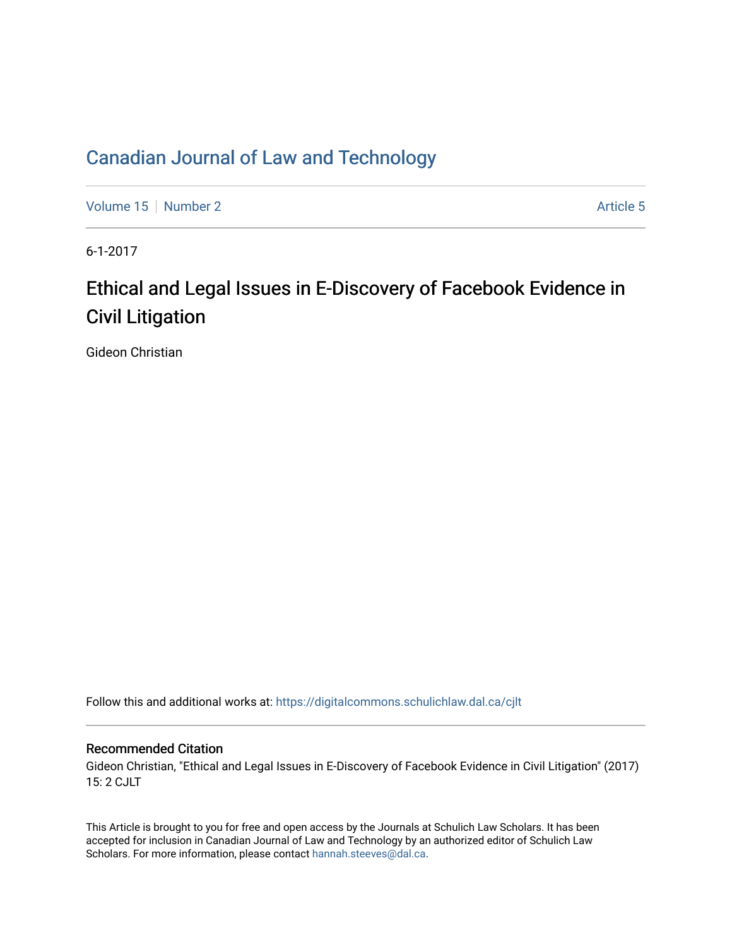# [Canadian Journal of Law and Technology](https://digitalcommons.schulichlaw.dal.ca/cjlt)

[Volume 15](https://digitalcommons.schulichlaw.dal.ca/cjlt/vol15) [Number 2](https://digitalcommons.schulichlaw.dal.ca/cjlt/vol15/iss2) Article 5

6-1-2017

# Ethical and Legal Issues in E-Discovery of Facebook Evidence in Civil Litigation

Gideon Christian

Follow this and additional works at: [https://digitalcommons.schulichlaw.dal.ca/cjlt](https://digitalcommons.schulichlaw.dal.ca/cjlt?utm_source=digitalcommons.schulichlaw.dal.ca%2Fcjlt%2Fvol15%2Fiss2%2F5&utm_medium=PDF&utm_campaign=PDFCoverPages) 

# Recommended Citation

Gideon Christian, "Ethical and Legal Issues in E-Discovery of Facebook Evidence in Civil Litigation" (2017) 15: 2 CJLT

This Article is brought to you for free and open access by the Journals at Schulich Law Scholars. It has been accepted for inclusion in Canadian Journal of Law and Technology by an authorized editor of Schulich Law Scholars. For more information, please contact [hannah.steeves@dal.ca](mailto:hannah.steeves@dal.ca).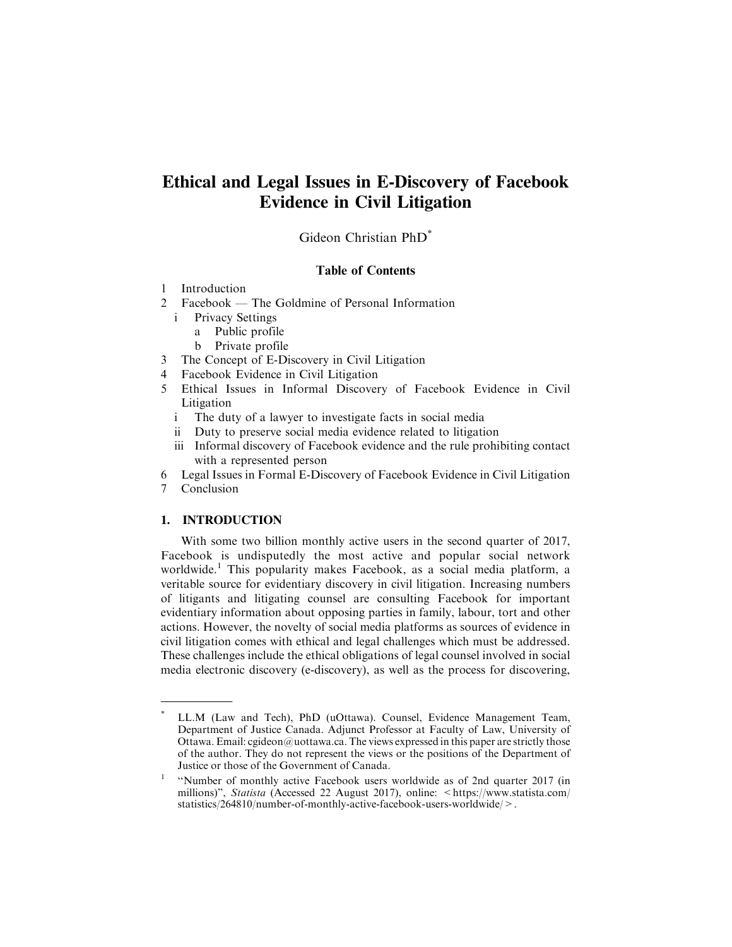# **Ethical and Legal Issues in E-Discovery of Facebook Evidence in Civil Litigation**

Gideon Christian PhD\*

## Table of Contents

- 1 Introduction
- 2 Facebook The Goldmine of Personal Information
	- i Privacy Settings
		- a Public profile
		- b Private profile
- 3 The Concept of E-Discovery in Civil Litigation
- 4 Facebook Evidence in Civil Litigation
- 5 Ethical Issues in Informal Discovery of Facebook Evidence in Civil Litigation
	- i The duty of a lawyer to investigate facts in social media
	- ii Duty to preserve social media evidence related to litigation
	- iii Informal discovery of Facebook evidence and the rule prohibiting contact with a represented person
- 6 Legal Issues in Formal E-Discovery of Facebook Evidence in Civil Litigation
- 7 Conclusion

# **1. INTRODUCTION**

With some two billion monthly active users in the second quarter of 2017, Facebook is undisputedly the most active and popular social network worldwide.<sup>1</sup> This popularity makes Facebook, as a social media platform, a veritable source for evidentiary discovery in civil litigation. Increasing numbers of litigants and litigating counsel are consulting Facebook for important evidentiary information about opposing parties in family, labour, tort and other actions. However, the novelty of social media platforms as sources of evidence in civil litigation comes with ethical and legal challenges which must be addressed. These challenges include the ethical obligations of legal counsel involved in social media electronic discovery (e-discovery), as well as the process for discovering,

LL.M (Law and Tech), PhD (uOttawa). Counsel, Evidence Management Team, Department of Justice Canada. Adjunct Professor at Faculty of Law, University of Ottawa. Email: cgideon@uottawa.ca. The views expressed in this paper are strictly those of the author. They do not represent the views or the positions of the Department of Justice or those of the Government of Canada.

<sup>&</sup>lt;sup>1</sup> "Number of monthly active Facebook users worldwide as of 2nd quarter 2017 (in millions)", Statista (Accessed 22 August 2017), online: <https://www.statista.com/ statistics/264810/number-of-monthly-active-facebook-users-worldwide/>.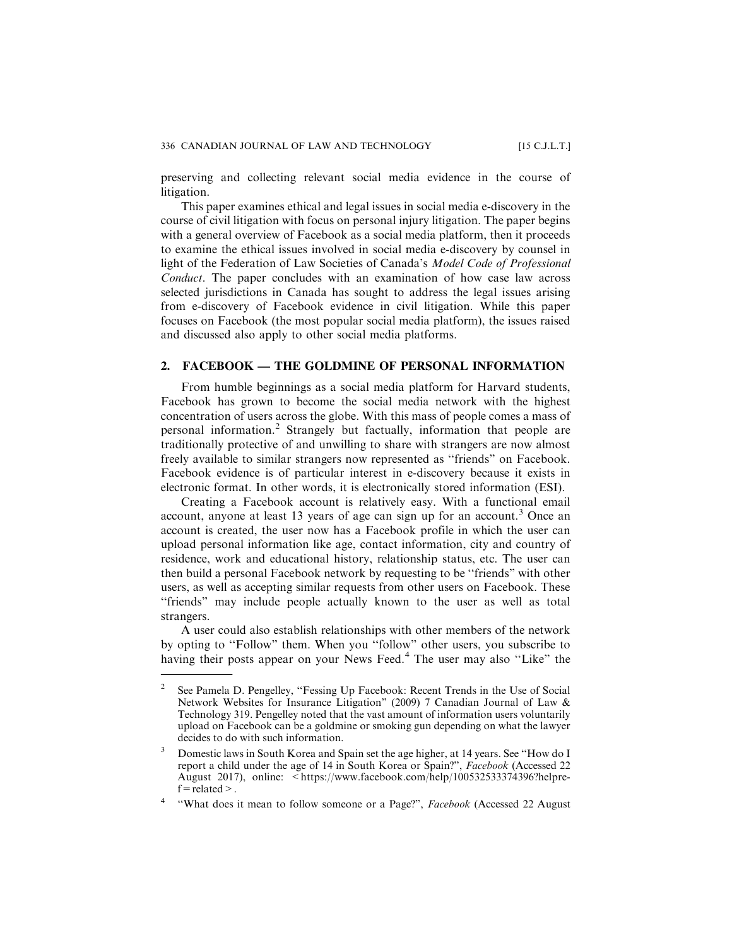preserving and collecting relevant social media evidence in the course of litigation.

This paper examines ethical and legal issues in social media e-discovery in the course of civil litigation with focus on personal injury litigation. The paper begins with a general overview of Facebook as a social media platform, then it proceeds to examine the ethical issues involved in social media e-discovery by counsel in light of the Federation of Law Societies of Canada's Model Code of Professional Conduct. The paper concludes with an examination of how case law across selected jurisdictions in Canada has sought to address the legal issues arising from e-discovery of Facebook evidence in civil litigation. While this paper focuses on Facebook (the most popular social media platform), the issues raised and discussed also apply to other social media platforms.

#### **2. FACEBOOK — THE GOLDMINE OF PERSONAL INFORMATION**

From humble beginnings as a social media platform for Harvard students, Facebook has grown to become the social media network with the highest concentration of users across the globe. With this mass of people comes a mass of personal information.<sup>2</sup> Strangely but factually, information that people are traditionally protective of and unwilling to share with strangers are now almost freely available to similar strangers now represented as ''friends" on Facebook. Facebook evidence is of particular interest in e-discovery because it exists in electronic format. In other words, it is electronically stored information (ESI).

Creating a Facebook account is relatively easy. With a functional email account, anyone at least 13 years of age can sign up for an account.<sup>3</sup> Once an account is created, the user now has a Facebook profile in which the user can upload personal information like age, contact information, city and country of residence, work and educational history, relationship status, etc. The user can then build a personal Facebook network by requesting to be ''friends" with other users, as well as accepting similar requests from other users on Facebook. These "friends" may include people actually known to the user as well as total strangers.

A user could also establish relationships with other members of the network by opting to ''Follow" them. When you ''follow" other users, you subscribe to having their posts appear on your News Feed.<sup>4</sup> The user may also "Like" the

<sup>&</sup>lt;sup>2</sup> See Pamela D. Pengelley, "Fessing Up Facebook: Recent Trends in the Use of Social Network Websites for Insurance Litigation" (2009) 7 Canadian Journal of Law & Technology 319. Pengelley noted that the vast amount of information users voluntarily upload on Facebook can be a goldmine or smoking gun depending on what the lawyer decides to do with such information.

<sup>3</sup> Domestic laws in South Korea and Spain set the age higher, at 14 years. See ''How do I report a child under the age of 14 in South Korea or Spain?", Facebook (Accessed 22 August 2017), online: <https://www.facebook.com/help/100532533374396?helpre $f$  = related >.

<sup>&</sup>lt;sup>4</sup> "What does it mean to follow someone or a Page?", Facebook (Accessed 22 August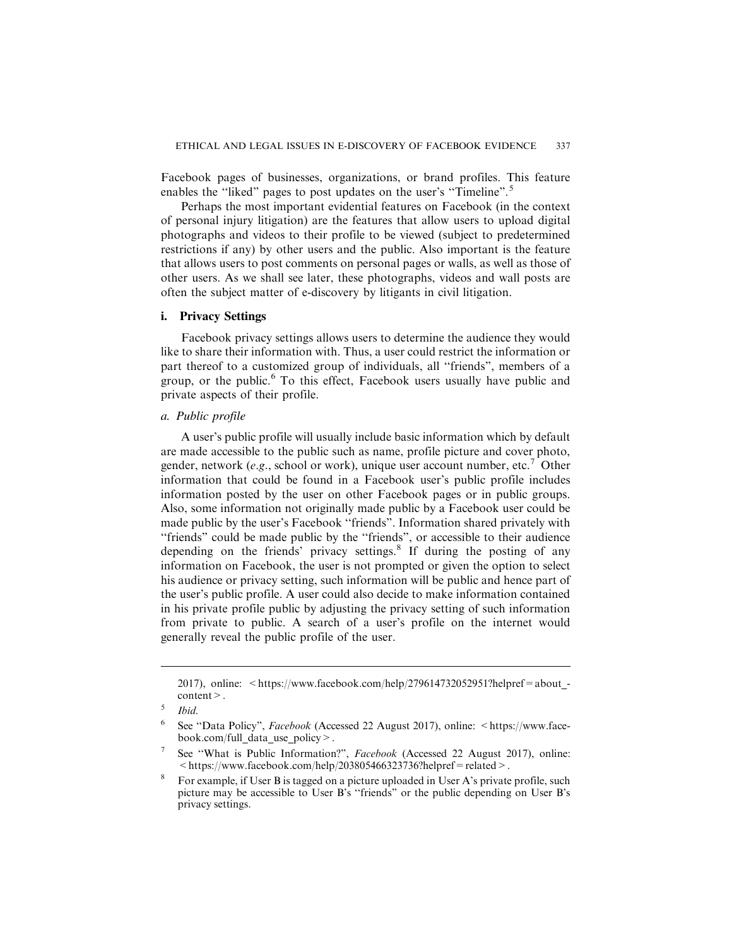Facebook pages of businesses, organizations, or brand profiles. This feature enables the "liked" pages to post updates on the user's "Timeline".<sup>5</sup>

Perhaps the most important evidential features on Facebook (in the context of personal injury litigation) are the features that allow users to upload digital photographs and videos to their profile to be viewed (subject to predetermined restrictions if any) by other users and the public. Also important is the feature that allows users to post comments on personal pages or walls, as well as those of other users. As we shall see later, these photographs, videos and wall posts are often the subject matter of e-discovery by litigants in civil litigation.

#### **i. Privacy Settings**

Facebook privacy settings allows users to determine the audience they would like to share their information with. Thus, a user could restrict the information or part thereof to a customized group of individuals, all ''friends", members of a group, or the public.<sup>6</sup> To this effect, Facebook users usually have public and private aspects of their profile.

#### *a. Public profile*

A user's public profile will usually include basic information which by default are made accessible to the public such as name, profile picture and cover photo, gender, network (e.g., school or work), unique user account number, etc.<sup>7</sup> Other information that could be found in a Facebook user's public profile includes information posted by the user on other Facebook pages or in public groups. Also, some information not originally made public by a Facebook user could be made public by the user's Facebook ''friends". Information shared privately with ''friends" could be made public by the ''friends", or accessible to their audience depending on the friends' privacy settings. $8$  If during the posting of any information on Facebook, the user is not prompted or given the option to select his audience or privacy setting, such information will be public and hence part of the user's public profile. A user could also decide to make information contained in his private profile public by adjusting the privacy setting of such information from private to public. A search of a user's profile on the internet would generally reveal the public profile of the user.

<sup>2017),</sup> online: <https://www.facebook.com/help/279614732052951?helpref=about content>.

 $5$  Ibid.

<sup>&</sup>lt;sup>6</sup> See "Data Policy", *Facebook* (Accessed 22 August 2017), online:  $\leq$ https://www.facebook.com/full\_data\_use\_policy>.

See "What is Public Information?", Facebook (Accessed 22 August 2017), online:  $\langle$ https://www.facebook.com/help/203805466323736?helpref=related>.

<sup>&</sup>lt;sup>8</sup> For example, if User B is tagged on a picture uploaded in User A's private profile, such picture may be accessible to User B's ''friends" or the public depending on User B's privacy settings.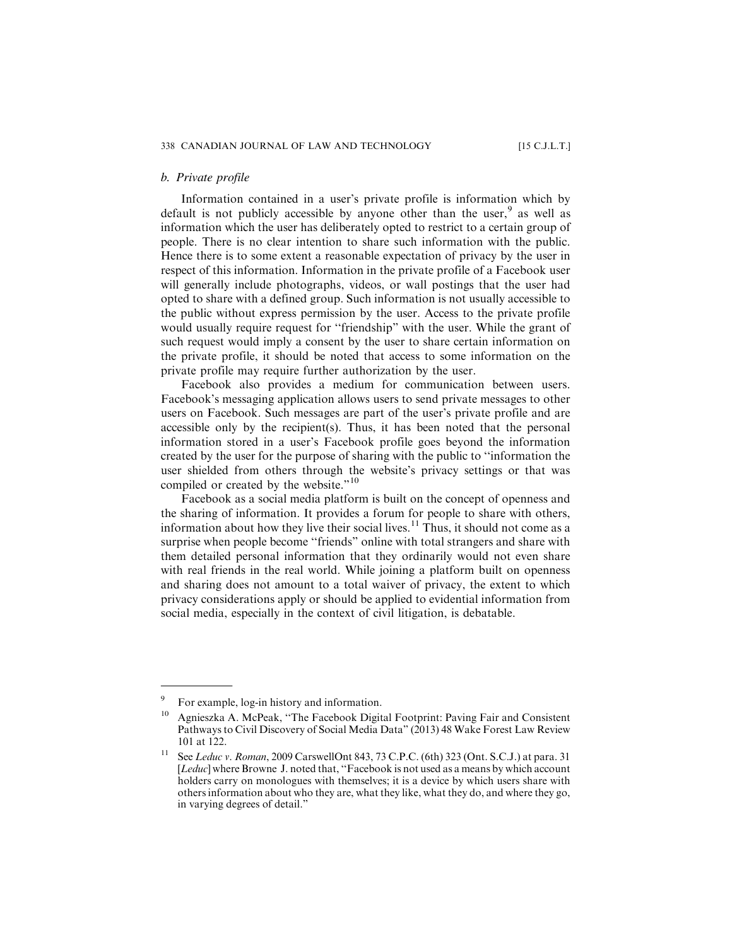#### *b. Private profile*

Information contained in a user's private profile is information which by default is not publicly accessible by anyone other than the user,  $9$  as well as information which the user has deliberately opted to restrict to a certain group of people. There is no clear intention to share such information with the public. Hence there is to some extent a reasonable expectation of privacy by the user in respect of this information. Information in the private profile of a Facebook user will generally include photographs, videos, or wall postings that the user had opted to share with a defined group. Such information is not usually accessible to the public without express permission by the user. Access to the private profile would usually require request for ''friendship" with the user. While the grant of such request would imply a consent by the user to share certain information on the private profile, it should be noted that access to some information on the private profile may require further authorization by the user.

Facebook also provides a medium for communication between users. Facebook's messaging application allows users to send private messages to other users on Facebook. Such messages are part of the user's private profile and are accessible only by the recipient(s). Thus, it has been noted that the personal information stored in a user's Facebook profile goes beyond the information created by the user for the purpose of sharing with the public to ''information the user shielded from others through the website's privacy settings or that was compiled or created by the website."<sup>10</sup>

Facebook as a social media platform is built on the concept of openness and the sharing of information. It provides a forum for people to share with others, information about how they live their social lives.<sup>11</sup> Thus, it should not come as a surprise when people become ''friends" online with total strangers and share with them detailed personal information that they ordinarily would not even share with real friends in the real world. While joining a platform built on openness and sharing does not amount to a total waiver of privacy, the extent to which privacy considerations apply or should be applied to evidential information from social media, especially in the context of civil litigation, is debatable.

<sup>9</sup> For example, log-in history and information.

<sup>10</sup> Agnieszka A. McPeak, ''The Facebook Digital Footprint: Paving Fair and Consistent Pathways to Civil Discovery of Social Media Data" (2013) 48 Wake Forest Law Review 101 at 122.

See Leduc v. Roman, 2009 CarswellOnt 843, 73 C.P.C. (6th) 323 (Ont. S.C.J.) at para. 31 [Leduc] where Browne J. noted that, "Facebook is not used as a means by which account holders carry on monologues with themselves; it is a device by which users share with others information about who they are, what they like, what they do, and where they go, in varying degrees of detail."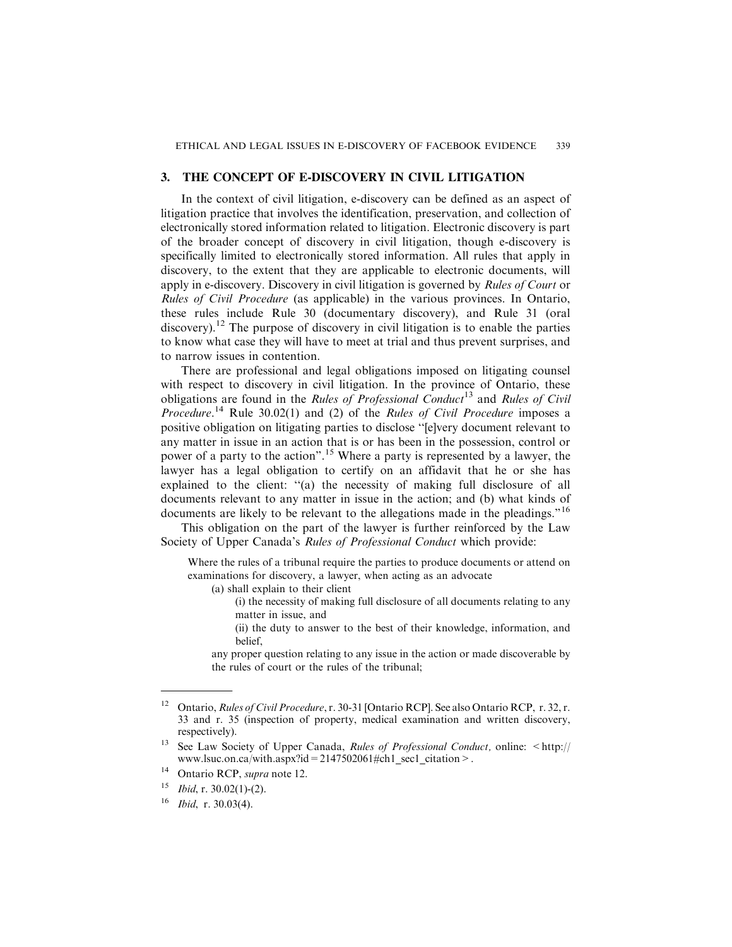## **3. THE CONCEPT OF E-DISCOVERY IN CIVIL LITIGATION**

In the context of civil litigation, e-discovery can be defined as an aspect of litigation practice that involves the identification, preservation, and collection of electronically stored information related to litigation. Electronic discovery is part of the broader concept of discovery in civil litigation, though e-discovery is specifically limited to electronically stored information. All rules that apply in discovery, to the extent that they are applicable to electronic documents, will apply in e-discovery. Discovery in civil litigation is governed by *Rules of Court* or Rules of Civil Procedure (as applicable) in the various provinces. In Ontario, these rules include Rule 30 (documentary discovery), and Rule 31 (oral discovery).<sup>12</sup> The purpose of discovery in civil litigation is to enable the parties to know what case they will have to meet at trial and thus prevent surprises, and to narrow issues in contention.

There are professional and legal obligations imposed on litigating counsel with respect to discovery in civil litigation. In the province of Ontario, these obligations are found in the Rules of Professional Conduct<sup>13</sup> and Rules of Civil *Procedure.*<sup>14</sup> Rule 30.02(1) and (2) of the *Rules of Civil Procedure* imposes a positive obligation on litigating parties to disclose ''[e]very document relevant to any matter in issue in an action that is or has been in the possession, control or power of a party to the action".<sup>15</sup> Where a party is represented by a lawyer, the lawyer has a legal obligation to certify on an affidavit that he or she has explained to the client: "(a) the necessity of making full disclosure of all documents relevant to any matter in issue in the action; and (b) what kinds of documents are likely to be relevant to the allegations made in the pleadings."<sup>16</sup>

This obligation on the part of the lawyer is further reinforced by the Law Society of Upper Canada's Rules of Professional Conduct which provide:

Where the rules of a tribunal require the parties to produce documents or attend on examinations for discovery, a lawyer, when acting as an advocate

(a) shall explain to their client

- (i) the necessity of making full disclosure of all documents relating to any matter in issue, and
- (ii) the duty to answer to the best of their knowledge, information, and belief,

any proper question relating to any issue in the action or made discoverable by the rules of court or the rules of the tribunal;

<sup>&</sup>lt;sup>12</sup> Ontario, *Rules of Civil Procedure*, r. 30-31 [Ontario RCP]. See also Ontario RCP, r. 32, r. 33 and r. 35 (inspection of property, medical examination and written discovery, respectively).

<sup>&</sup>lt;sup>13</sup> See Law Society of Upper Canada, *Rules of Professional Conduct*, online:  $\langle$ http:// www.lsuc.on.ca/with.aspx?id=2147502061#ch1\_sec1\_citation>.

<sup>&</sup>lt;sup>14</sup> Ontario RCP, *supra* note 12.

 $15$  *Ibid, r.* 30.02(1)-(2).

 $16$  *Ibid, r.* 30.03(4).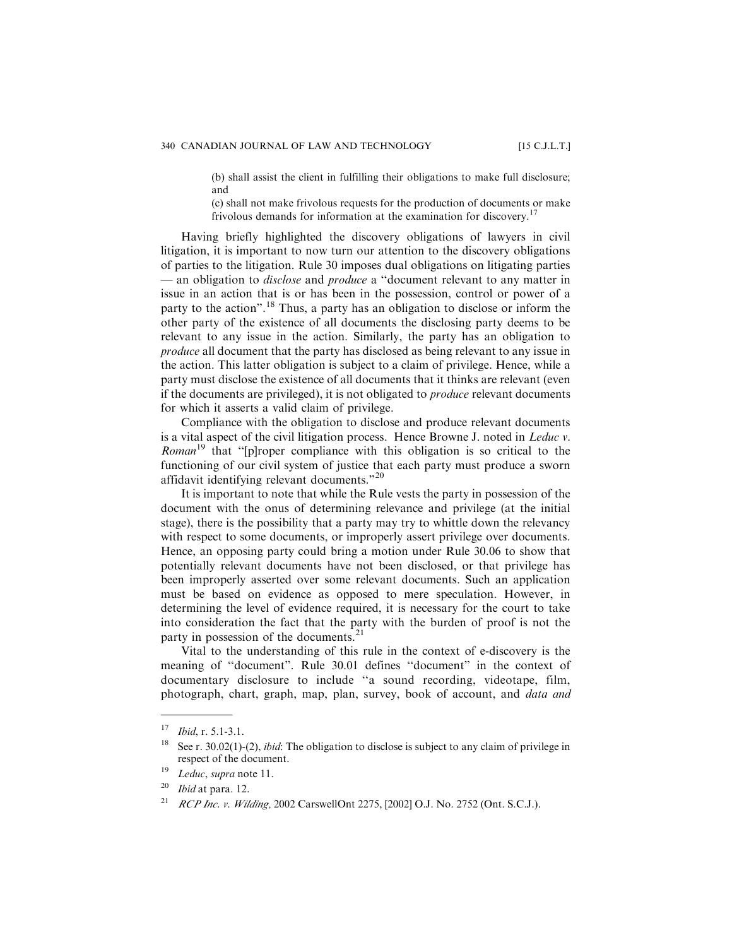(b) shall assist the client in fulfilling their obligations to make full disclosure; and

(c) shall not make frivolous requests for the production of documents or make frivolous demands for information at the examination for discovery.<sup>17</sup>

Having briefly highlighted the discovery obligations of lawyers in civil litigation, it is important to now turn our attention to the discovery obligations of parties to the litigation. Rule 30 imposes dual obligations on litigating parties — an obligation to *disclose* and *produce* a "document relevant to any matter in issue in an action that is or has been in the possession, control or power of a party to the action".<sup>18</sup> Thus, a party has an obligation to disclose or inform the other party of the existence of all documents the disclosing party deems to be relevant to any issue in the action. Similarly, the party has an obligation to produce all document that the party has disclosed as being relevant to any issue in the action. This latter obligation is subject to a claim of privilege. Hence, while a party must disclose the existence of all documents that it thinks are relevant (even if the documents are privileged), it is not obligated to produce relevant documents for which it asserts a valid claim of privilege.

Compliance with the obligation to disclose and produce relevant documents is a vital aspect of the civil litigation process. Hence Browne J. noted in Leduc v. *Roman*<sup>19</sup> that "[p]roper compliance with this obligation is so critical to the functioning of our civil system of justice that each party must produce a sworn affidavit identifying relevant documents."<sup>20</sup>

It is important to note that while the Rule vests the party in possession of the document with the onus of determining relevance and privilege (at the initial stage), there is the possibility that a party may try to whittle down the relevancy with respect to some documents, or improperly assert privilege over documents. Hence, an opposing party could bring a motion under Rule 30.06 to show that potentially relevant documents have not been disclosed, or that privilege has been improperly asserted over some relevant documents. Such an application must be based on evidence as opposed to mere speculation. However, in determining the level of evidence required, it is necessary for the court to take into consideration the fact that the party with the burden of proof is not the party in possession of the documents.<sup>21</sup>

Vital to the understanding of this rule in the context of e-discovery is the meaning of ''document". Rule 30.01 defines ''document" in the context of documentary disclosure to include ''a sound recording, videotape, film, photograph, chart, graph, map, plan, survey, book of account, and data and

 $17$  *Ibid*, r. 5.1-3.1.

<sup>&</sup>lt;sup>18</sup> See r. 30.02(1)-(2), *ibid*: The obligation to disclose is subject to any claim of privilege in respect of the document.

<sup>&</sup>lt;sup>19</sup> Leduc, supra note 11.

 $20$  *Ibid* at para. 12.

<sup>&</sup>lt;sup>21</sup> RCP Inc. v. Wilding, 2002 CarswellOnt 2275, [2002] O.J. No. 2752 (Ont. S.C.J.).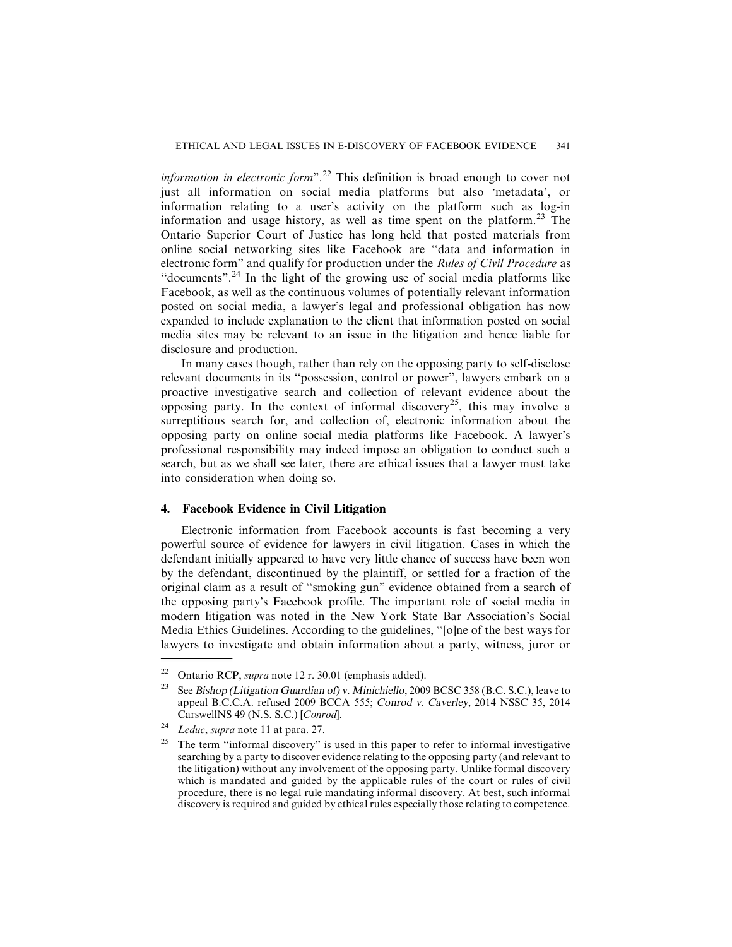information in electronic form".<sup>22</sup> This definition is broad enough to cover not just all information on social media platforms but also 'metadata', or information relating to a user's activity on the platform such as log-in information and usage history, as well as time spent on the platform.<sup>23</sup> The Ontario Superior Court of Justice has long held that posted materials from online social networking sites like Facebook are ''data and information in electronic form" and qualify for production under the Rules of Civil Procedure as ''documents".<sup>24</sup> In the light of the growing use of social media platforms like Facebook, as well as the continuous volumes of potentially relevant information posted on social media, a lawyer's legal and professional obligation has now expanded to include explanation to the client that information posted on social media sites may be relevant to an issue in the litigation and hence liable for disclosure and production.

In many cases though, rather than rely on the opposing party to self-disclose relevant documents in its ''possession, control or power", lawyers embark on a proactive investigative search and collection of relevant evidence about the opposing party. In the context of informal discovery<sup>25</sup>, this may involve a surreptitious search for, and collection of, electronic information about the opposing party on online social media platforms like Facebook. A lawyer's professional responsibility may indeed impose an obligation to conduct such a search, but as we shall see later, there are ethical issues that a lawyer must take into consideration when doing so.

#### **4. Facebook Evidence in Civil Litigation**

Electronic information from Facebook accounts is fast becoming a very powerful source of evidence for lawyers in civil litigation. Cases in which the defendant initially appeared to have very little chance of success have been won by the defendant, discontinued by the plaintiff, or settled for a fraction of the original claim as a result of ''smoking gun" evidence obtained from a search of the opposing party's Facebook profile. The important role of social media in modern litigation was noted in the New York State Bar Association's Social Media Ethics Guidelines. According to the guidelines, ''[o]ne of the best ways for lawyers to investigate and obtain information about a party, witness, juror or

<sup>&</sup>lt;sup>22</sup> Ontario RCP, *supra* note 12 r. 30.01 (emphasis added).

See Bishop (Litigation Guardian of) v. Minichiello, 2009 BCSC 358 (B.C. S.C.), leave to appeal B.C.C.A. refused 2009 BCCA 555; Conrod v. Caverley, 2014 NSSC 35, 2014 CarswellNS 49 (N.S. S.C.) [Conrod].

Leduc, supra note 11 at para. 27.

<sup>&</sup>lt;sup>25</sup> The term "informal discovery" is used in this paper to refer to informal investigative searching by a party to discover evidence relating to the opposing party (and relevant to the litigation) without any involvement of the opposing party. Unlike formal discovery which is mandated and guided by the applicable rules of the court or rules of civil procedure, there is no legal rule mandating informal discovery. At best, such informal discovery is required and guided by ethical rules especially those relating to competence.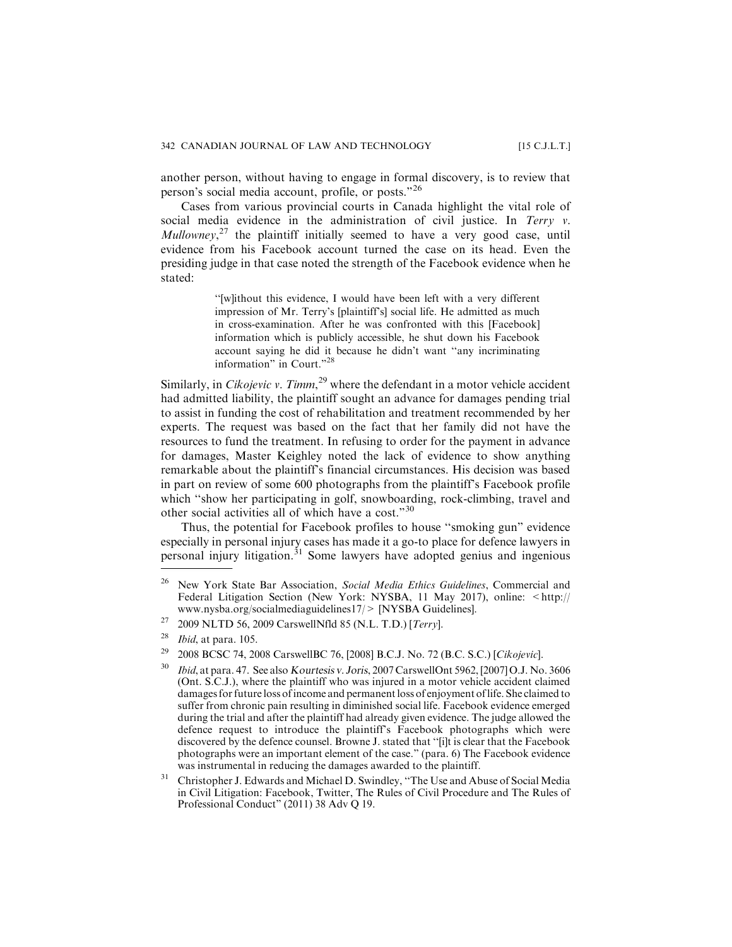another person, without having to engage in formal discovery, is to review that person's social media account, profile, or posts."<sup>26</sup>

Cases from various provincial courts in Canada highlight the vital role of social media evidence in the administration of civil justice. In Terry  $v$ .  $Mullower<sub>z</sub><sup>27</sup>$  the plaintiff initially seemed to have a very good case, until evidence from his Facebook account turned the case on its head. Even the presiding judge in that case noted the strength of the Facebook evidence when he stated:

> ''[w]ithout this evidence, I would have been left with a very different impression of Mr. Terry's [plaintiff's] social life. He admitted as much in cross-examination. After he was confronted with this [Facebook] information which is publicly accessible, he shut down his Facebook account saying he did it because he didn't want ''any incriminating information" in Court."<sup>28</sup>

Similarly, in *Cikojevic v. Timm*,<sup>29</sup> where the defendant in a motor vehicle accident had admitted liability, the plaintiff sought an advance for damages pending trial to assist in funding the cost of rehabilitation and treatment recommended by her experts. The request was based on the fact that her family did not have the resources to fund the treatment. In refusing to order for the payment in advance for damages, Master Keighley noted the lack of evidence to show anything remarkable about the plaintiff's financial circumstances. His decision was based in part on review of some 600 photographs from the plaintiff's Facebook profile which "show her participating in golf, snowboarding, rock-climbing, travel and other social activities all of which have a cost."<sup>30</sup>

Thus, the potential for Facebook profiles to house ''smoking gun" evidence especially in personal injury cases has made it a go-to place for defence lawyers in personal injury litigation.<sup>31</sup> Some lawyers have adopted genius and ingenious

 $26$  New York State Bar Association, Social Media Ethics Guidelines, Commercial and Federal Litigation Section (New York: NYSBA, 11 May 2017), online: <http:// www.nysba.org/socialmediaguidelines17/> [NYSBA Guidelines].

<sup>&</sup>lt;sup>27</sup> 2009 NLTD 56, 2009 CarswellNfld 85 (N.L. T.D.) [Terry].

 $^{28}$  *Ibid*, at para. 105.

<sup>29</sup> 2008 BCSC 74, 2008 CarswellBC 76, [2008] B.C.J. No. 72 (B.C. S.C.) [Cikojevic].

<sup>&</sup>lt;sup>30</sup> Ibid, at para. 47. See also Kourtesis v. Joris, 2007 CarswellOnt 5962, [2007] O.J. No. 3606 (Ont. S.C.J.), where the plaintiff who was injured in a motor vehicle accident claimed damages for future loss of income and permanent loss of enjoyment of life. She claimed to suffer from chronic pain resulting in diminished social life. Facebook evidence emerged during the trial and after the plaintiff had already given evidence. The judge allowed the defence request to introduce the plaintiff's Facebook photographs which were discovered by the defence counsel. Browne J. stated that ''[i]t is clear that the Facebook photographs were an important element of the case." (para. 6) The Facebook evidence was instrumental in reducing the damages awarded to the plaintiff.

<sup>&</sup>lt;sup>31</sup> Christopher J. Edwards and Michael D. Swindley, "The Use and Abuse of Social Media in Civil Litigation: Facebook, Twitter, The Rules of Civil Procedure and The Rules of Professional Conduct" (2011) 38 Adv Q 19.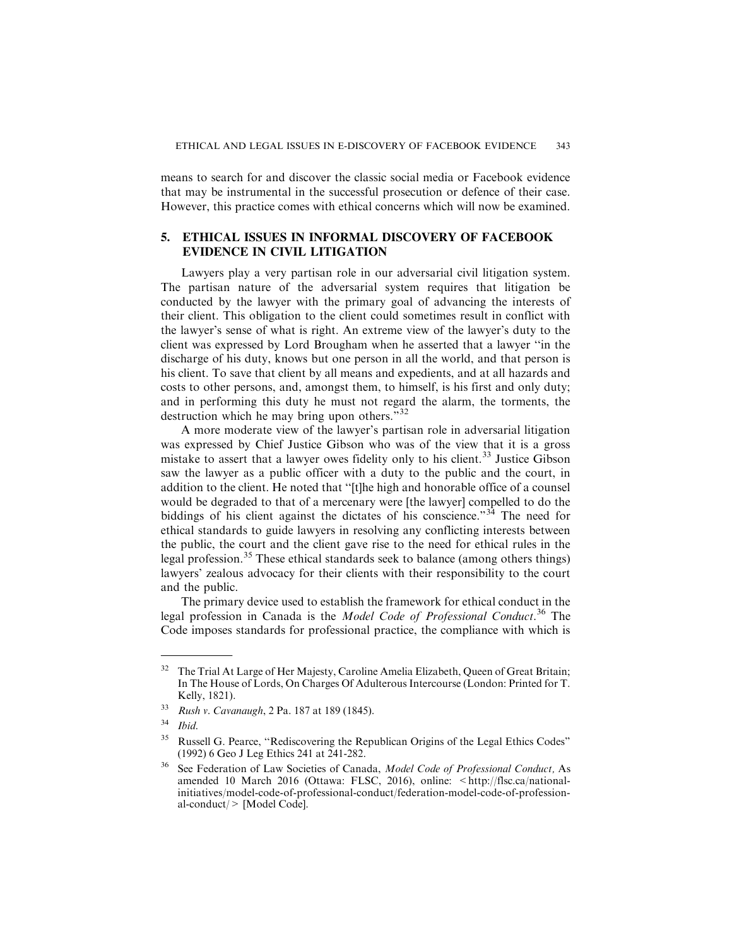means to search for and discover the classic social media or Facebook evidence that may be instrumental in the successful prosecution or defence of their case. However, this practice comes with ethical concerns which will now be examined.

# **5. ETHICAL ISSUES IN INFORMAL DISCOVERY OF FACEBOOK EVIDENCE IN CIVIL LITIGATION**

Lawyers play a very partisan role in our adversarial civil litigation system. The partisan nature of the adversarial system requires that litigation be conducted by the lawyer with the primary goal of advancing the interests of their client. This obligation to the client could sometimes result in conflict with the lawyer's sense of what is right. An extreme view of the lawyer's duty to the client was expressed by Lord Brougham when he asserted that a lawyer ''in the discharge of his duty, knows but one person in all the world, and that person is his client. To save that client by all means and expedients, and at all hazards and costs to other persons, and, amongst them, to himself, is his first and only duty; and in performing this duty he must not regard the alarm, the torments, the destruction which he may bring upon others."<sup>32</sup>

A more moderate view of the lawyer's partisan role in adversarial litigation was expressed by Chief Justice Gibson who was of the view that it is a gross mistake to assert that a lawyer owes fidelity only to his client.<sup>33</sup> Justice Gibson saw the lawyer as a public officer with a duty to the public and the court, in addition to the client. He noted that ''[t]he high and honorable office of a counsel would be degraded to that of a mercenary were [the lawyer] compelled to do the biddings of his client against the dictates of his conscience."<sup>34</sup> The need for ethical standards to guide lawyers in resolving any conflicting interests between the public, the court and the client gave rise to the need for ethical rules in the legal profession.<sup>35</sup> These ethical standards seek to balance (among others things) lawyers' zealous advocacy for their clients with their responsibility to the court and the public.

The primary device used to establish the framework for ethical conduct in the legal profession in Canada is the Model Code of Professional Conduct.<sup>36</sup> The Code imposes standards for professional practice, the compliance with which is

<sup>&</sup>lt;sup>32</sup> The Trial At Large of Her Majesty, Caroline Amelia Elizabeth, Queen of Great Britain; In The House of Lords, On Charges Of Adulterous Intercourse (London: Printed for T. Kelly, 1821).

<sup>33</sup> Rush v. Cavanaugh, 2 Pa. 187 at 189 (1845).

 $34$  Ibid.

<sup>&</sup>lt;sup>35</sup> Russell G. Pearce, "Rediscovering the Republican Origins of the Legal Ethics Codes" (1992) 6 Geo J Leg Ethics 241 at 241-282.

<sup>&</sup>lt;sup>36</sup> See Federation of Law Societies of Canada, *Model Code of Professional Conduct*, As amended 10 March 2016 (Ottawa: FLSC, 2016), online: <http://flsc.ca/nationalinitiatives/model-code-of-professional-conduct/federation-model-code-of-professional-conduct/> [Model Code].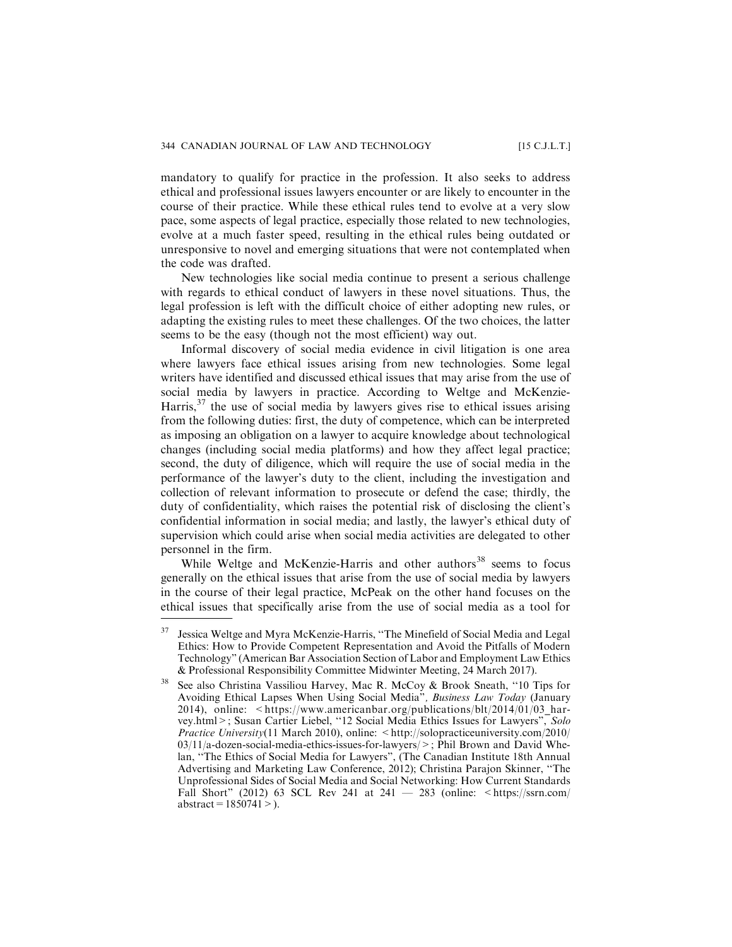mandatory to qualify for practice in the profession. It also seeks to address ethical and professional issues lawyers encounter or are likely to encounter in the course of their practice. While these ethical rules tend to evolve at a very slow pace, some aspects of legal practice, especially those related to new technologies, evolve at a much faster speed, resulting in the ethical rules being outdated or unresponsive to novel and emerging situations that were not contemplated when the code was drafted.

New technologies like social media continue to present a serious challenge with regards to ethical conduct of lawyers in these novel situations. Thus, the legal profession is left with the difficult choice of either adopting new rules, or adapting the existing rules to meet these challenges. Of the two choices, the latter seems to be the easy (though not the most efficient) way out.

Informal discovery of social media evidence in civil litigation is one area where lawyers face ethical issues arising from new technologies. Some legal writers have identified and discussed ethical issues that may arise from the use of social media by lawyers in practice. According to Weltge and McKenzie-Harris,  $37$  the use of social media by lawyers gives rise to ethical issues arising from the following duties: first, the duty of competence, which can be interpreted as imposing an obligation on a lawyer to acquire knowledge about technological changes (including social media platforms) and how they affect legal practice; second, the duty of diligence, which will require the use of social media in the performance of the lawyer's duty to the client, including the investigation and collection of relevant information to prosecute or defend the case; thirdly, the duty of confidentiality, which raises the potential risk of disclosing the client's confidential information in social media; and lastly, the lawyer's ethical duty of supervision which could arise when social media activities are delegated to other personnel in the firm.

While Weltge and McKenzie-Harris and other authors<sup>38</sup> seems to focus generally on the ethical issues that arise from the use of social media by lawyers in the course of their legal practice, McPeak on the other hand focuses on the ethical issues that specifically arise from the use of social media as a tool for

<sup>37</sup> Jessica Weltge and Myra McKenzie-Harris, ''The Minefield of Social Media and Legal Ethics: How to Provide Competent Representation and Avoid the Pitfalls of Modern Technology" (American Bar Association Section of Labor and Employment Law Ethics & Professional Responsibility Committee Midwinter Meeting, 24 March 2017).

See also Christina Vassiliou Harvey, Mac R. McCoy & Brook Sneath, "10 Tips for Avoiding Ethical Lapses When Using Social Media", Business Law Today (January 2014), online: <https://www.americanbar.org/publications/blt/2014/01/03 harvey.html>; Susan Cartier Liebel, "12 Social Media Ethics Issues for Lawyers", Solo Practice University(11 March 2010), online:  $\langle$ http://solopracticeuniversity.com/2010/  $03/11/a$ -dozen-social-media-ethics-issues-for-lawyers/ $>$ ; Phil Brown and David Whelan, ''The Ethics of Social Media for Lawyers", (The Canadian Institute 18th Annual Advertising and Marketing Law Conference, 2012); Christina Parajon Skinner, ''The Unprofessional Sides of Social Media and Social Networking: How Current Standards Fall Short" (2012) 63 SCL Rev 241 at 241  $-$  283 (online:  $\lt$ https://ssrn.com/  $abstraction = 1850741$  > ).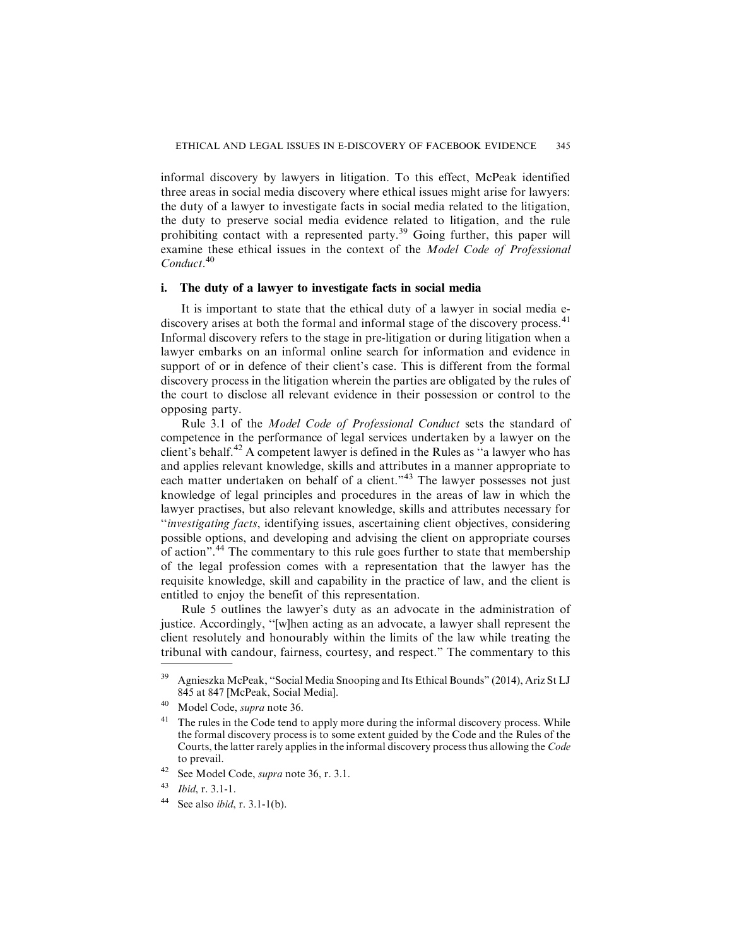informal discovery by lawyers in litigation. To this effect, McPeak identified three areas in social media discovery where ethical issues might arise for lawyers: the duty of a lawyer to investigate facts in social media related to the litigation, the duty to preserve social media evidence related to litigation, and the rule prohibiting contact with a represented party.<sup>39</sup> Going further, this paper will examine these ethical issues in the context of the Model Code of Professional Conduct<sup>40</sup>

### **i. The duty of a lawyer to investigate facts in social media**

It is important to state that the ethical duty of a lawyer in social media ediscovery arises at both the formal and informal stage of the discovery process.<sup>41</sup> Informal discovery refers to the stage in pre-litigation or during litigation when a lawyer embarks on an informal online search for information and evidence in support of or in defence of their client's case. This is different from the formal discovery process in the litigation wherein the parties are obligated by the rules of the court to disclose all relevant evidence in their possession or control to the opposing party.

Rule 3.1 of the Model Code of Professional Conduct sets the standard of competence in the performance of legal services undertaken by a lawyer on the client's behalf.<sup>42</sup> A competent lawyer is defined in the Rules as "a lawyer who has and applies relevant knowledge, skills and attributes in a manner appropriate to each matter undertaken on behalf of a client."<sup>43</sup> The lawyer possesses not just knowledge of legal principles and procedures in the areas of law in which the lawyer practises, but also relevant knowledge, skills and attributes necessary for ''investigating facts, identifying issues, ascertaining client objectives, considering possible options, and developing and advising the client on appropriate courses of action".<sup>44</sup> The commentary to this rule goes further to state that membership of the legal profession comes with a representation that the lawyer has the requisite knowledge, skill and capability in the practice of law, and the client is entitled to enjoy the benefit of this representation.

Rule 5 outlines the lawyer's duty as an advocate in the administration of justice. Accordingly, ''[w]hen acting as an advocate, a lawyer shall represent the client resolutely and honourably within the limits of the law while treating the tribunal with candour, fairness, courtesy, and respect." The commentary to this

<sup>42</sup> See Model Code, supra note 36, r. 3.1.

<sup>44</sup> See also *ibid*, r.  $3.1-1(b)$ .

<sup>39</sup> Agnieszka McPeak, ''Social Media Snooping and Its Ethical Bounds" (2014), Ariz St LJ 845 at 847 [McPeak, Social Media].

<sup>40</sup> Model Code, supra note 36.

 $41$  The rules in the Code tend to apply more during the informal discovery process. While the formal discovery process is to some extent guided by the Code and the Rules of the Courts, the latter rarely applies in the informal discovery process thus allowing the Code to prevail.

 $43$  *Ibid, r.* 3.1-1.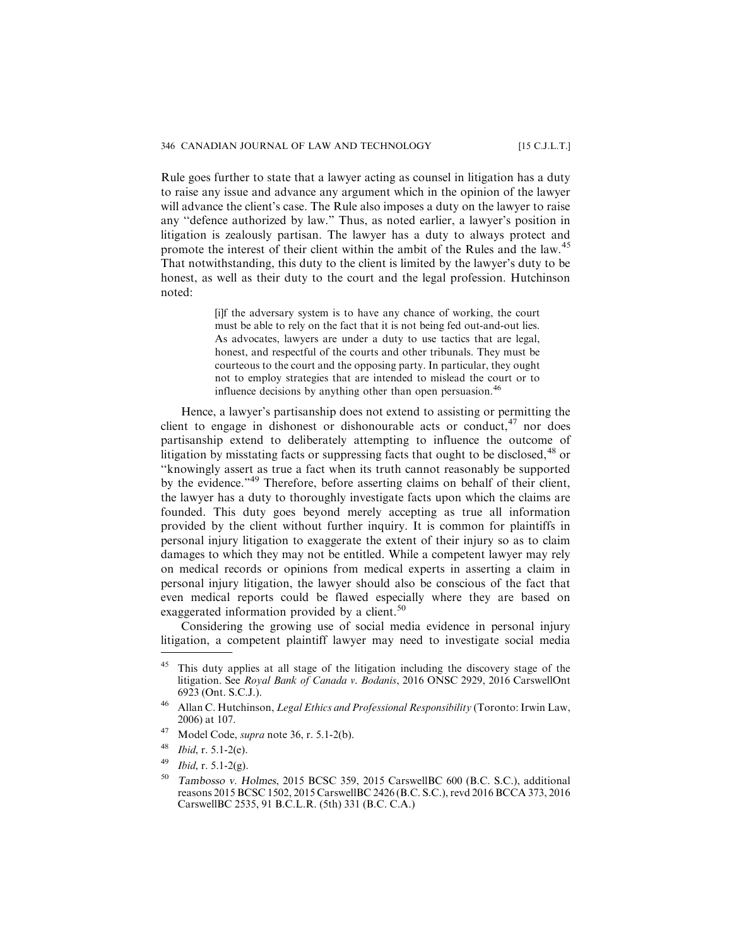Rule goes further to state that a lawyer acting as counsel in litigation has a duty to raise any issue and advance any argument which in the opinion of the lawyer will advance the client's case. The Rule also imposes a duty on the lawyer to raise any ''defence authorized by law." Thus, as noted earlier, a lawyer's position in litigation is zealously partisan. The lawyer has a duty to always protect and promote the interest of their client within the ambit of the Rules and the law.<sup>45</sup> That notwithstanding, this duty to the client is limited by the lawyer's duty to be honest, as well as their duty to the court and the legal profession. Hutchinson noted:

> [i]f the adversary system is to have any chance of working, the court must be able to rely on the fact that it is not being fed out-and-out lies. As advocates, lawyers are under a duty to use tactics that are legal, honest, and respectful of the courts and other tribunals. They must be courteous to the court and the opposing party. In particular, they ought not to employ strategies that are intended to mislead the court or to influence decisions by anything other than open persuasion.<sup>46</sup>

Hence, a lawyer's partisanship does not extend to assisting or permitting the client to engage in dishonest or dishonourable acts or conduct,  $47$  nor does partisanship extend to deliberately attempting to influence the outcome of litigation by misstating facts or suppressing facts that ought to be disclosed, $48$  or ''knowingly assert as true a fact when its truth cannot reasonably be supported by the evidence."<sup>49</sup> Therefore, before asserting claims on behalf of their client, the lawyer has a duty to thoroughly investigate facts upon which the claims are founded. This duty goes beyond merely accepting as true all information provided by the client without further inquiry. It is common for plaintiffs in personal injury litigation to exaggerate the extent of their injury so as to claim damages to which they may not be entitled. While a competent lawyer may rely on medical records or opinions from medical experts in asserting a claim in personal injury litigation, the lawyer should also be conscious of the fact that even medical reports could be flawed especially where they are based on exaggerated information provided by a client.<sup>50</sup>

Considering the growing use of social media evidence in personal injury litigation, a competent plaintiff lawyer may need to investigate social media

- $47$  Model Code, *supra* note 36, r. 5.1-2(b).
- $48$  *Ibid*, r. 5.1-2(e).
- $^{49}$  *Ibid, r.* 5.1-2(g).

<sup>&</sup>lt;sup>45</sup> This duty applies at all stage of the litigation including the discovery stage of the litigation. See Royal Bank of Canada v. Bodanis, 2016 ONSC 2929, 2016 CarswellOnt 6923 (Ont. S.C.J.).

<sup>&</sup>lt;sup>46</sup> Allan C. Hutchinson, *Legal Ethics and Professional Responsibility* (Toronto: Irwin Law, 2006) at 107.

<sup>50</sup> Tambosso v. Holmes, 2015 BCSC 359, 2015 CarswellBC 600 (B.C. S.C.), additional reasons 2015 BCSC 1502, 2015 CarswellBC 2426 (B.C. S.C.), revd 2016 BCCA 373, 2016 CarswellBC 2535, 91 B.C.L.R. (5th) 331 (B.C. C.A.)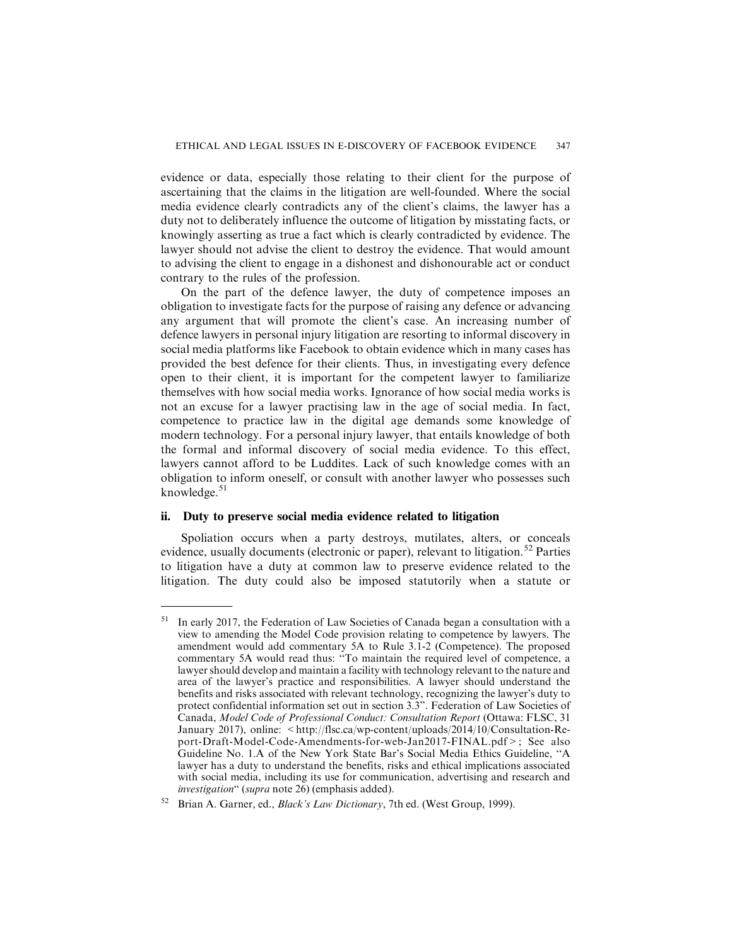evidence or data, especially those relating to their client for the purpose of ascertaining that the claims in the litigation are well-founded. Where the social media evidence clearly contradicts any of the client's claims, the lawyer has a duty not to deliberately influence the outcome of litigation by misstating facts, or knowingly asserting as true a fact which is clearly contradicted by evidence. The lawyer should not advise the client to destroy the evidence. That would amount to advising the client to engage in a dishonest and dishonourable act or conduct contrary to the rules of the profession.

On the part of the defence lawyer, the duty of competence imposes an obligation to investigate facts for the purpose of raising any defence or advancing any argument that will promote the client's case. An increasing number of defence lawyers in personal injury litigation are resorting to informal discovery in social media platforms like Facebook to obtain evidence which in many cases has provided the best defence for their clients. Thus, in investigating every defence open to their client, it is important for the competent lawyer to familiarize themselves with how social media works. Ignorance of how social media works is not an excuse for a lawyer practising law in the age of social media. In fact, competence to practice law in the digital age demands some knowledge of modern technology. For a personal injury lawyer, that entails knowledge of both the formal and informal discovery of social media evidence. To this effect, lawyers cannot afford to be Luddites. Lack of such knowledge comes with an obligation to inform oneself, or consult with another lawyer who possesses such knowledge. $51$ 

#### **ii. Duty to preserve social media evidence related to litigation**

Spoliation occurs when a party destroys, mutilates, alters, or conceals evidence, usually documents (electronic or paper), relevant to litigation.<sup>52</sup> Parties to litigation have a duty at common law to preserve evidence related to the litigation. The duty could also be imposed statutorily when a statute or

 $51$  In early 2017, the Federation of Law Societies of Canada began a consultation with a view to amending the Model Code provision relating to competence by lawyers. The amendment would add commentary 5A to Rule 3.1-2 (Competence). The proposed commentary 5A would read thus: ''To maintain the required level of competence, a lawyer should develop and maintain a facility with technology relevant to the nature and area of the lawyer's practice and responsibilities. A lawyer should understand the benefits and risks associated with relevant technology, recognizing the lawyer's duty to protect confidential information set out in section 3.3". Federation of Law Societies of Canada, Model Code of Professional Conduct: Consultation Report (Ottawa: FLSC, 31 January 2017), online: <http://flsc.ca/wp-content/uploads/2014/10/Consultation-Report-Draft-Model-Code-Amendments-for-web-Jan2017-FINAL.pdf>; See also Guideline No. 1.A of the New York State Bar's Social Media Ethics Guideline, ''A lawyer has a duty to understand the benefits, risks and ethical implications associated with social media, including its use for communication, advertising and research and investigation" (supra note 26) (emphasis added).

Brian A. Garner, ed., *Black's Law Dictionary*, 7th ed. (West Group, 1999).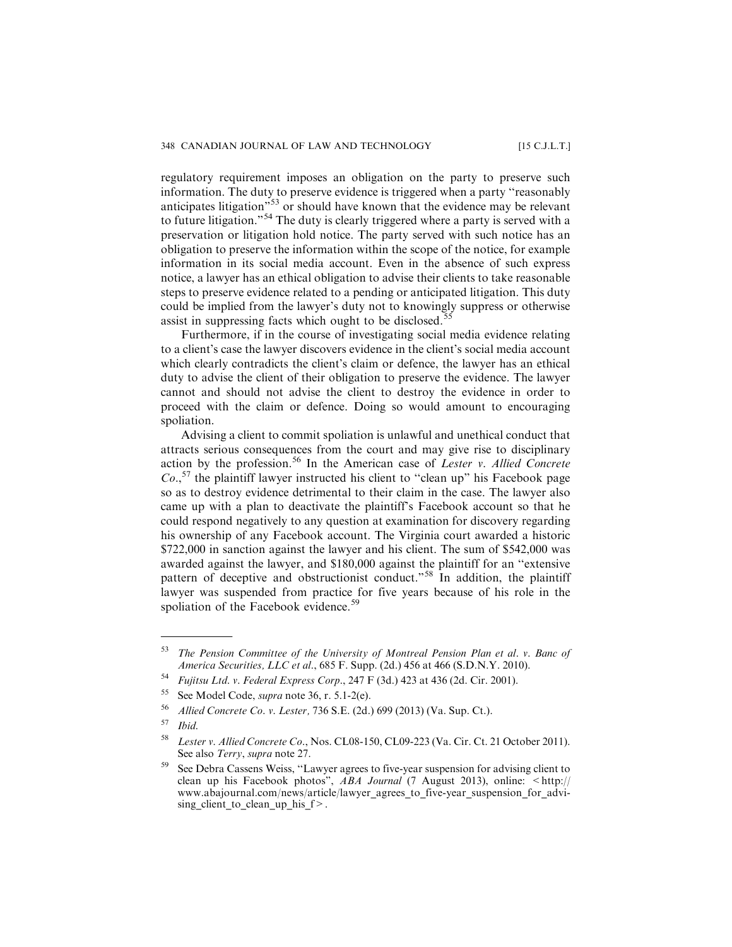regulatory requirement imposes an obligation on the party to preserve such information. The duty to preserve evidence is triggered when a party ''reasonably anticipates litigation<sup>"53</sup> or should have known that the evidence may be relevant to future litigation."<sup>54</sup> The duty is clearly triggered where a party is served with a preservation or litigation hold notice. The party served with such notice has an obligation to preserve the information within the scope of the notice, for example information in its social media account. Even in the absence of such express notice, a lawyer has an ethical obligation to advise their clients to take reasonable steps to preserve evidence related to a pending or anticipated litigation. This duty could be implied from the lawyer's duty not to knowingly suppress or otherwise assist in suppressing facts which ought to be disclosed.<sup>55</sup>

Furthermore, if in the course of investigating social media evidence relating to a client's case the lawyer discovers evidence in the client's social media account which clearly contradicts the client's claim or defence, the lawyer has an ethical duty to advise the client of their obligation to preserve the evidence. The lawyer cannot and should not advise the client to destroy the evidence in order to proceed with the claim or defence. Doing so would amount to encouraging spoliation.

Advising a client to commit spoliation is unlawful and unethical conduct that attracts serious consequences from the court and may give rise to disciplinary action by the profession.<sup>56</sup> In the American case of *Lester v. Allied Concrete*  $Co.,<sup>57</sup>$  the plaintiff lawyer instructed his client to "clean up" his Facebook page so as to destroy evidence detrimental to their claim in the case. The lawyer also came up with a plan to deactivate the plaintiff's Facebook account so that he could respond negatively to any question at examination for discovery regarding his ownership of any Facebook account. The Virginia court awarded a historic \$722,000 in sanction against the lawyer and his client. The sum of \$542,000 was awarded against the lawyer, and \$180,000 against the plaintiff for an ''extensive pattern of deceptive and obstructionist conduct."<sup>58</sup> In addition, the plaintiff lawyer was suspended from practice for five years because of his role in the spoliation of the Facebook evidence.<sup>59</sup>

 $53$  The Pension Committee of the University of Montreal Pension Plan et al. v. Banc of America Securities, LLC et al., 685 F. Supp. (2d.) 456 at 466 (S.D.N.Y. 2010).

<sup>54</sup> Fujitsu Ltd. v. Federal Express Corp., 247 F (3d.) 423 at 436 (2d. Cir. 2001).

<sup>55</sup> See Model Code, supra note 36, r. 5.1-2(e).

<sup>56</sup> Allied Concrete Co. v. Lester, 736 S.E. (2d.) 699 (2013) (Va. Sup. Ct.).

 $57$  Ibid.

<sup>58</sup> Lester v. Allied Concrete Co., Nos. CL08-150, CL09-223 (Va. Cir. Ct. 21 October 2011). See also *Terry*, *supra* note 27.

<sup>59</sup> See Debra Cassens Weiss, ''Lawyer agrees to five-year suspension for advising client to clean up his Facebook photos",  $ABA$  Journal (7 August 2013), online: <http:// www.abajournal.com/news/article/lawyer\_agrees\_to\_five-year\_suspension\_for\_advising client to clean up his  $f$  >.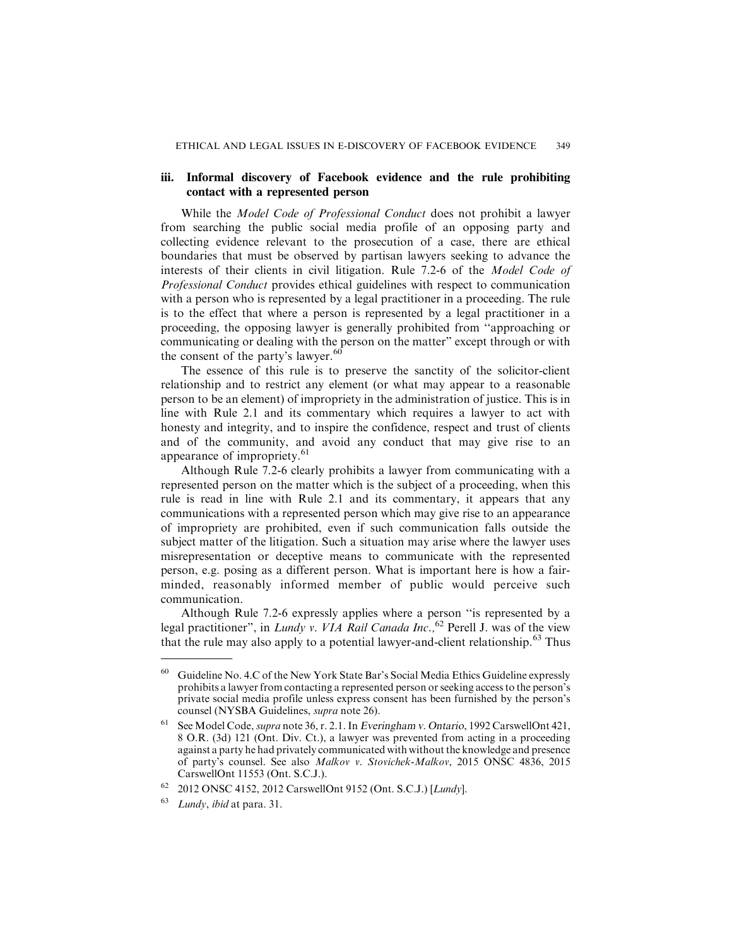## **iii. Informal discovery of Facebook evidence and the rule prohibiting contact with a represented person**

While the *Model Code of Professional Conduct* does not prohibit a lawyer from searching the public social media profile of an opposing party and collecting evidence relevant to the prosecution of a case, there are ethical boundaries that must be observed by partisan lawyers seeking to advance the interests of their clients in civil litigation. Rule 7.2-6 of the Model Code of Professional Conduct provides ethical guidelines with respect to communication with a person who is represented by a legal practitioner in a proceeding. The rule is to the effect that where a person is represented by a legal practitioner in a proceeding, the opposing lawyer is generally prohibited from ''approaching or communicating or dealing with the person on the matter" except through or with the consent of the party's lawyer.<sup>60</sup>

The essence of this rule is to preserve the sanctity of the solicitor-client relationship and to restrict any element (or what may appear to a reasonable person to be an element) of impropriety in the administration of justice. This is in line with Rule 2.1 and its commentary which requires a lawyer to act with honesty and integrity, and to inspire the confidence, respect and trust of clients and of the community, and avoid any conduct that may give rise to an appearance of impropriety.<sup>61</sup>

Although Rule 7.2-6 clearly prohibits a lawyer from communicating with a represented person on the matter which is the subject of a proceeding, when this rule is read in line with Rule 2.1 and its commentary, it appears that any communications with a represented person which may give rise to an appearance of impropriety are prohibited, even if such communication falls outside the subject matter of the litigation. Such a situation may arise where the lawyer uses misrepresentation or deceptive means to communicate with the represented person, e.g. posing as a different person. What is important here is how a fairminded, reasonably informed member of public would perceive such communication.

Although Rule 7.2-6 expressly applies where a person ''is represented by a legal practitioner", in Lundy v. VIA Rail Canada Inc.,  $^{62}$  Perell J. was of the view that the rule may also apply to a potential lawyer-and-client relationship.<sup>63</sup> Thus

<sup>60</sup> Guideline No. 4.C of the New York State Bar's Social Media Ethics Guideline expressly prohibits a lawyer from contacting a represented person or seeking access to the person's private social media profile unless express consent has been furnished by the person's counsel (NYSBA Guidelines, supra note 26).

<sup>61</sup> See Model Code, supra note 36, r. 2.1. In Everingham v. Ontario, 1992 CarswellOnt 421, 8 O.R. (3d) 121 (Ont. Div. Ct.), a lawyer was prevented from acting in a proceeding against a party he had privately communicated with without the knowledge and presence of party's counsel. See also Malkov v. Stovichek-Malkov, 2015 ONSC 4836, 2015 CarswellOnt 11553 (Ont. S.C.J.).

<sup>62</sup> 2012 ONSC 4152, 2012 CarswellOnt 9152 (Ont. S.C.J.) [Lundy].

 $63$  Lundy, ibid at para. 31.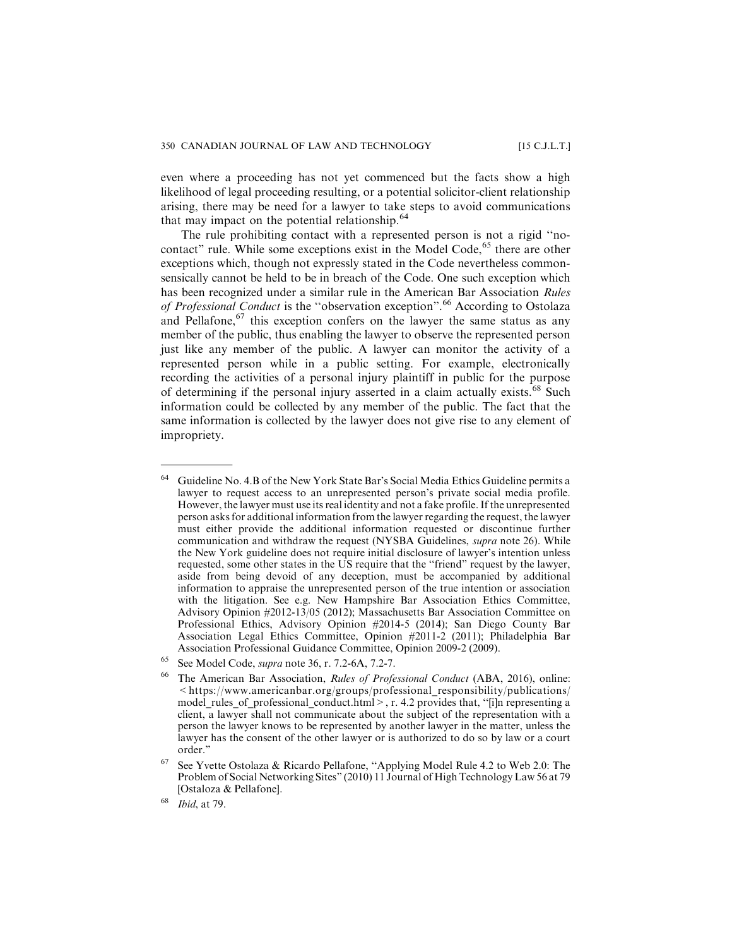even where a proceeding has not yet commenced but the facts show a high likelihood of legal proceeding resulting, or a potential solicitor-client relationship arising, there may be need for a lawyer to take steps to avoid communications that may impact on the potential relationship.<sup>64</sup>

The rule prohibiting contact with a represented person is not a rigid ''nocontact" rule. While some exceptions exist in the Model Code,  $65$  there are other exceptions which, though not expressly stated in the Code nevertheless commonsensically cannot be held to be in breach of the Code. One such exception which has been recognized under a similar rule in the American Bar Association Rules of Professional Conduct is the "observation exception".<sup>66</sup> According to Ostolaza and Pellafone, $67$  this exception confers on the lawyer the same status as any member of the public, thus enabling the lawyer to observe the represented person just like any member of the public. A lawyer can monitor the activity of a represented person while in a public setting. For example, electronically recording the activities of a personal injury plaintiff in public for the purpose of determining if the personal injury asserted in a claim actually exists.<sup>68</sup> Such information could be collected by any member of the public. The fact that the same information is collected by the lawyer does not give rise to any element of impropriety.

<sup>64</sup> Guideline No. 4.B of the New York State Bar's Social Media Ethics Guideline permits a lawyer to request access to an unrepresented person's private social media profile. However, the lawyer must use its real identity and not a fake profile. If the unrepresented person asks for additional information from the lawyer regarding the request, the lawyer must either provide the additional information requested or discontinue further communication and withdraw the request (NYSBA Guidelines, supra note 26). While the New York guideline does not require initial disclosure of lawyer's intention unless requested, some other states in the US require that the ''friend" request by the lawyer, aside from being devoid of any deception, must be accompanied by additional information to appraise the unrepresented person of the true intention or association with the litigation. See e.g. New Hampshire Bar Association Ethics Committee, Advisory Opinion #2012-13/05 (2012); Massachusetts Bar Association Committee on Professional Ethics, Advisory Opinion #2014-5 (2014); San Diego County Bar Association Legal Ethics Committee, Opinion #2011-2 (2011); Philadelphia Bar Association Professional Guidance Committee, Opinion 2009-2 (2009).

<sup>65</sup> See Model Code, supra note 36, r. 7.2-6A, 7.2-7.

<sup>66</sup> The American Bar Association, Rules of Professional Conduct (ABA, 2016), online: <https://www.americanbar.org/groups/professional\_responsibility/publications/ model\_rules\_of\_professional\_conduct.html>, r. 4.2 provides that, "[i]n representing a client, a lawyer shall not communicate about the subject of the representation with a person the lawyer knows to be represented by another lawyer in the matter, unless the lawyer has the consent of the other lawyer or is authorized to do so by law or a court order."

See Yvette Ostolaza & Ricardo Pellafone, "Applying Model Rule 4.2 to Web 2.0: The Problem of Social Networking Sites" (2010) 11 Journal of High Technology Law 56 at 79 [Ostaloza & Pellafone].

<sup>68</sup> Ibid, at 79.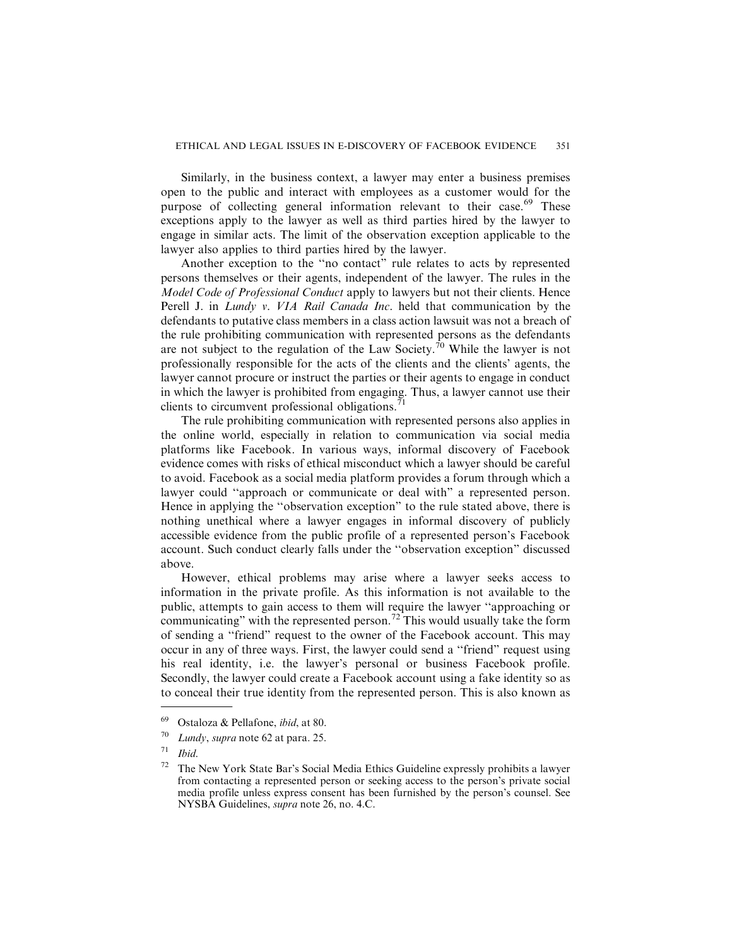Similarly, in the business context, a lawyer may enter a business premises open to the public and interact with employees as a customer would for the purpose of collecting general information relevant to their case.<sup>69</sup> These exceptions apply to the lawyer as well as third parties hired by the lawyer to engage in similar acts. The limit of the observation exception applicable to the lawyer also applies to third parties hired by the lawyer.

Another exception to the ''no contact" rule relates to acts by represented persons themselves or their agents, independent of the lawyer. The rules in the Model Code of Professional Conduct apply to lawyers but not their clients. Hence Perell J. in Lundy v. VIA Rail Canada Inc. held that communication by the defendants to putative class members in a class action lawsuit was not a breach of the rule prohibiting communication with represented persons as the defendants are not subject to the regulation of the Law Society.<sup>70</sup> While the lawyer is not professionally responsible for the acts of the clients and the clients' agents, the lawyer cannot procure or instruct the parties or their agents to engage in conduct in which the lawyer is prohibited from engaging. Thus, a lawyer cannot use their clients to circumvent professional obligations.<sup>7</sup>

The rule prohibiting communication with represented persons also applies in the online world, especially in relation to communication via social media platforms like Facebook. In various ways, informal discovery of Facebook evidence comes with risks of ethical misconduct which a lawyer should be careful to avoid. Facebook as a social media platform provides a forum through which a lawyer could ''approach or communicate or deal with" a represented person. Hence in applying the ''observation exception" to the rule stated above, there is nothing unethical where a lawyer engages in informal discovery of publicly accessible evidence from the public profile of a represented person's Facebook account. Such conduct clearly falls under the ''observation exception" discussed above.

However, ethical problems may arise where a lawyer seeks access to information in the private profile. As this information is not available to the public, attempts to gain access to them will require the lawyer ''approaching or communicating" with the represented person.<sup>72</sup> This would usually take the form of sending a ''friend" request to the owner of the Facebook account. This may occur in any of three ways. First, the lawyer could send a ''friend" request using his real identity, i.e. the lawyer's personal or business Facebook profile. Secondly, the lawyer could create a Facebook account using a fake identity so as to conceal their true identity from the represented person. This is also known as

 $69$  Ostaloza & Pellafone, *ibid*, at 80.

 $70$  Lundy, supra note 62 at para. 25.

 $71$  Ibid.

 $72$  The New York State Bar's Social Media Ethics Guideline expressly prohibits a lawyer from contacting a represented person or seeking access to the person's private social media profile unless express consent has been furnished by the person's counsel. See NYSBA Guidelines, supra note 26, no. 4.C.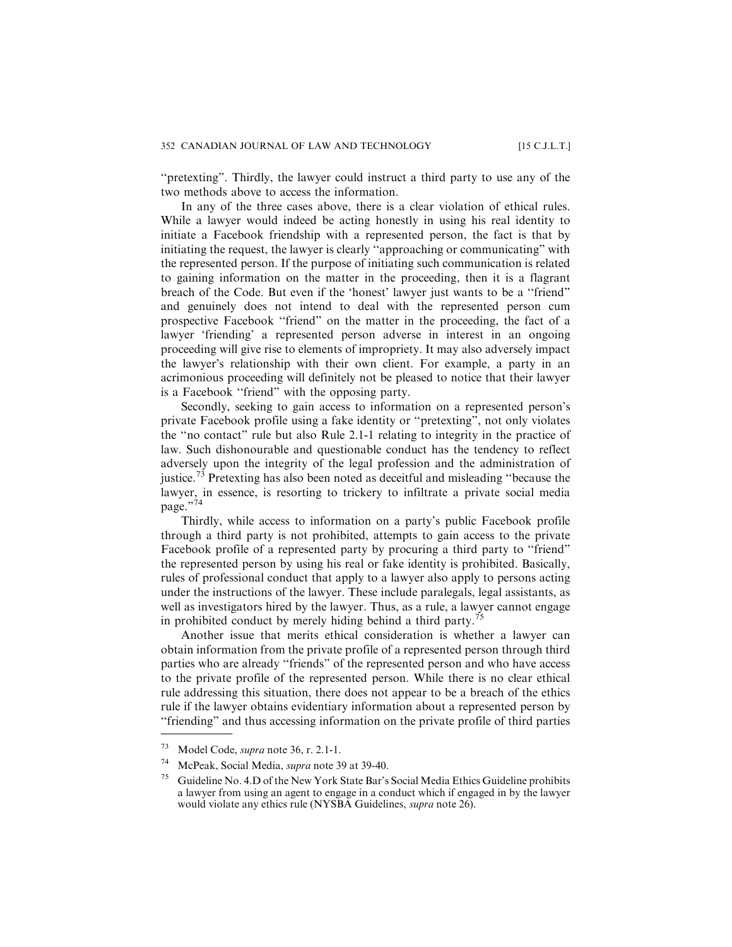"pretexting". Thirdly, the lawyer could instruct a third party to use any of the two methods above to access the information.

In any of the three cases above, there is a clear violation of ethical rules. While a lawyer would indeed be acting honestly in using his real identity to initiate a Facebook friendship with a represented person, the fact is that by initiating the request, the lawyer is clearly ''approaching or communicating" with the represented person. If the purpose of initiating such communication is related to gaining information on the matter in the proceeding, then it is a flagrant breach of the Code. But even if the 'honest' lawyer just wants to be a ''friend" and genuinely does not intend to deal with the represented person cum prospective Facebook ''friend" on the matter in the proceeding, the fact of a lawyer 'friending' a represented person adverse in interest in an ongoing proceeding will give rise to elements of impropriety. It may also adversely impact the lawyer's relationship with their own client. For example, a party in an acrimonious proceeding will definitely not be pleased to notice that their lawyer is a Facebook ''friend" with the opposing party.

Secondly, seeking to gain access to information on a represented person's private Facebook profile using a fake identity or ''pretexting", not only violates the ''no contact" rule but also Rule 2.1-1 relating to integrity in the practice of law. Such dishonourable and questionable conduct has the tendency to reflect adversely upon the integrity of the legal profession and the administration of justice.<sup>73</sup> Pretexting has also been noted as deceitful and misleading "because the lawyer, in essence, is resorting to trickery to infiltrate a private social media page."74

Thirdly, while access to information on a party's public Facebook profile through a third party is not prohibited, attempts to gain access to the private Facebook profile of a represented party by procuring a third party to "friend" the represented person by using his real or fake identity is prohibited. Basically, rules of professional conduct that apply to a lawyer also apply to persons acting under the instructions of the lawyer. These include paralegals, legal assistants, as well as investigators hired by the lawyer. Thus, as a rule, a lawyer cannot engage in prohibited conduct by merely hiding behind a third party.<sup>75</sup>

Another issue that merits ethical consideration is whether a lawyer can obtain information from the private profile of a represented person through third parties who are already ''friends" of the represented person and who have access to the private profile of the represented person. While there is no clear ethical rule addressing this situation, there does not appear to be a breach of the ethics rule if the lawyer obtains evidentiary information about a represented person by ''friending" and thus accessing information on the private profile of third parties

<sup>73</sup> Model Code, supra note 36, r. 2.1-1.

<sup>74</sup> McPeak, Social Media, supra note 39 at 39-40.

 $75$  Guideline No. 4.D of the New York State Bar's Social Media Ethics Guideline prohibits a lawyer from using an agent to engage in a conduct which if engaged in by the lawyer would violate any ethics rule (NYSBA Guidelines, supra note 26).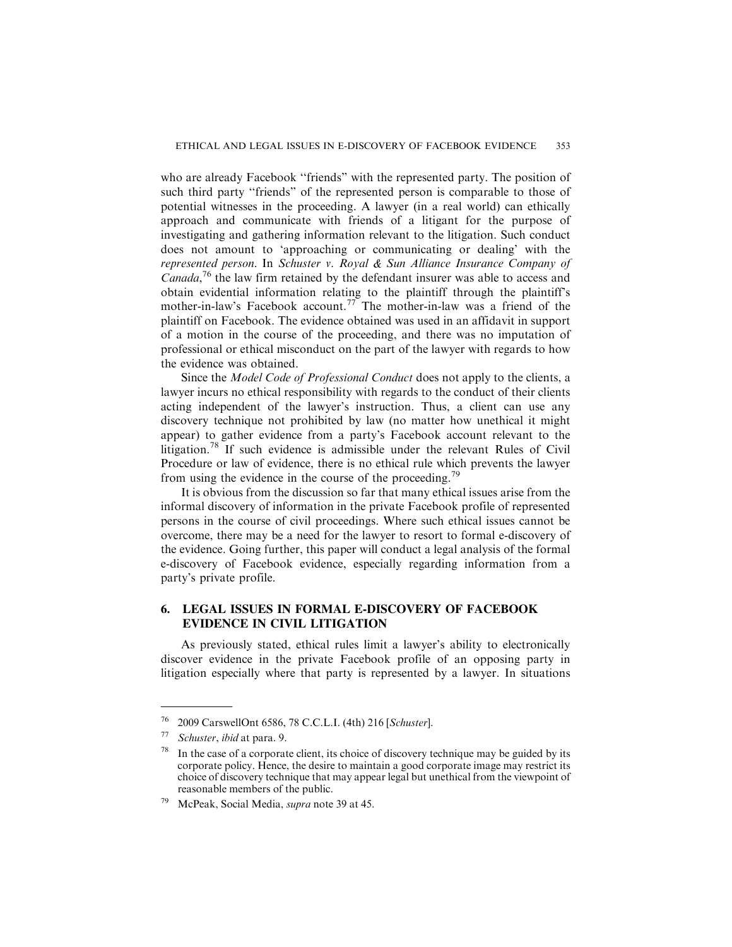who are already Facebook ''friends" with the represented party. The position of such third party "friends" of the represented person is comparable to those of potential witnesses in the proceeding. A lawyer (in a real world) can ethically approach and communicate with friends of a litigant for the purpose of investigating and gathering information relevant to the litigation. Such conduct does not amount to 'approaching or communicating or dealing' with the represented person. In Schuster v. Royal & Sun Alliance Insurance Company of Canada,<sup>76</sup> the law firm retained by the defendant insurer was able to access and obtain evidential information relating to the plaintiff through the plaintiff's mother-in-law's Facebook account.<sup>77</sup> The mother-in-law was a friend of the plaintiff on Facebook. The evidence obtained was used in an affidavit in support of a motion in the course of the proceeding, and there was no imputation of professional or ethical misconduct on the part of the lawyer with regards to how the evidence was obtained.

Since the Model Code of Professional Conduct does not apply to the clients, a lawyer incurs no ethical responsibility with regards to the conduct of their clients acting independent of the lawyer's instruction. Thus, a client can use any discovery technique not prohibited by law (no matter how unethical it might appear) to gather evidence from a party's Facebook account relevant to the litigation.<sup>78</sup> If such evidence is admissible under the relevant Rules of Civil Procedure or law of evidence, there is no ethical rule which prevents the lawyer from using the evidence in the course of the proceeding.<sup>79</sup>

It is obvious from the discussion so far that many ethical issues arise from the informal discovery of information in the private Facebook profile of represented persons in the course of civil proceedings. Where such ethical issues cannot be overcome, there may be a need for the lawyer to resort to formal e-discovery of the evidence. Going further, this paper will conduct a legal analysis of the formal e-discovery of Facebook evidence, especially regarding information from a party's private profile.

# **6. LEGAL ISSUES IN FORMAL E-DISCOVERY OF FACEBOOK EVIDENCE IN CIVIL LITIGATION**

As previously stated, ethical rules limit a lawyer's ability to electronically discover evidence in the private Facebook profile of an opposing party in litigation especially where that party is represented by a lawyer. In situations

 $^{76}$  2009 CarswellOnt 6586, 78 C.C.L.I. (4th) 216 [Schuster].<br> $^{77}$  Schuster, ibid at para. 9

Schuster, ibid at para. 9.

In the case of a corporate client, its choice of discovery technique may be guided by its corporate policy. Hence, the desire to maintain a good corporate image may restrict its choice of discovery technique that may appear legal but unethical from the viewpoint of reasonable members of the public.

McPeak, Social Media, supra note 39 at 45.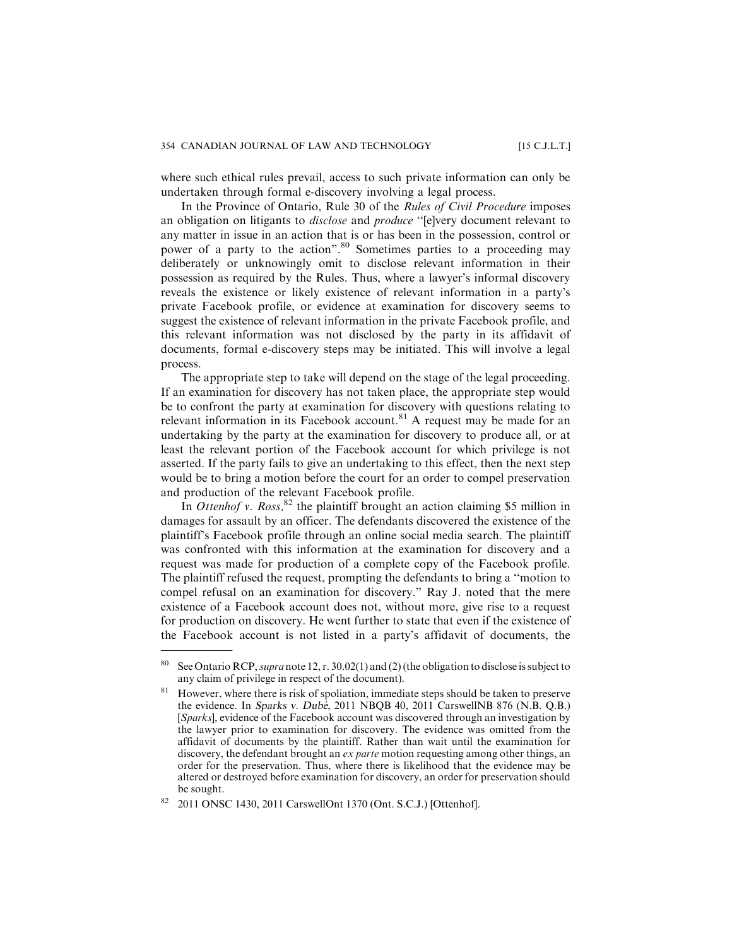where such ethical rules prevail, access to such private information can only be undertaken through formal e-discovery involving a legal process.

In the Province of Ontario, Rule 30 of the Rules of Civil Procedure imposes an obligation on litigants to *disclose* and *produce* "[e]very document relevant to any matter in issue in an action that is or has been in the possession, control or power of a party to the action".<sup>80</sup> Sometimes parties to a proceeding may deliberately or unknowingly omit to disclose relevant information in their possession as required by the Rules. Thus, where a lawyer's informal discovery reveals the existence or likely existence of relevant information in a party's private Facebook profile, or evidence at examination for discovery seems to suggest the existence of relevant information in the private Facebook profile, and this relevant information was not disclosed by the party in its affidavit of documents, formal e-discovery steps may be initiated. This will involve a legal process.

The appropriate step to take will depend on the stage of the legal proceeding. If an examination for discovery has not taken place, the appropriate step would be to confront the party at examination for discovery with questions relating to relevant information in its Facebook account.<sup>81</sup> A request may be made for an undertaking by the party at the examination for discovery to produce all, or at least the relevant portion of the Facebook account for which privilege is not asserted. If the party fails to give an undertaking to this effect, then the next step would be to bring a motion before the court for an order to compel preservation and production of the relevant Facebook profile.

In Ottenhof v. Ross,  $82$  the plaintiff brought an action claiming \$5 million in damages for assault by an officer. The defendants discovered the existence of the plaintiff's Facebook profile through an online social media search. The plaintiff was confronted with this information at the examination for discovery and a request was made for production of a complete copy of the Facebook profile. The plaintiff refused the request, prompting the defendants to bring a ''motion to compel refusal on an examination for discovery." Ray J. noted that the mere existence of a Facebook account does not, without more, give rise to a request for production on discovery. He went further to state that even if the existence of the Facebook account is not listed in a party's affidavit of documents, the

<sup>&</sup>lt;sup>80</sup> See Ontario RCP, *supra* note 12, r. 30.02(1) and (2) (the obligation to disclose is subject to any claim of privilege in respect of the document).

<sup>&</sup>lt;sup>81</sup> However, where there is risk of spoliation, immediate steps should be taken to preserve the evidence. In Sparks v. Dube, 2011 NBQB 40, 2011 CarswellNB 876 (N.B. Q.B.) [Sparks], evidence of the Facebook account was discovered through an investigation by the lawyer prior to examination for discovery. The evidence was omitted from the affidavit of documents by the plaintiff. Rather than wait until the examination for discovery, the defendant brought an *ex parte* motion requesting among other things, an order for the preservation. Thus, where there is likelihood that the evidence may be altered or destroyed before examination for discovery, an order for preservation should be sought.

<sup>82</sup> 2011 ONSC 1430, 2011 CarswellOnt 1370 (Ont. S.C.J.) [Ottenhof].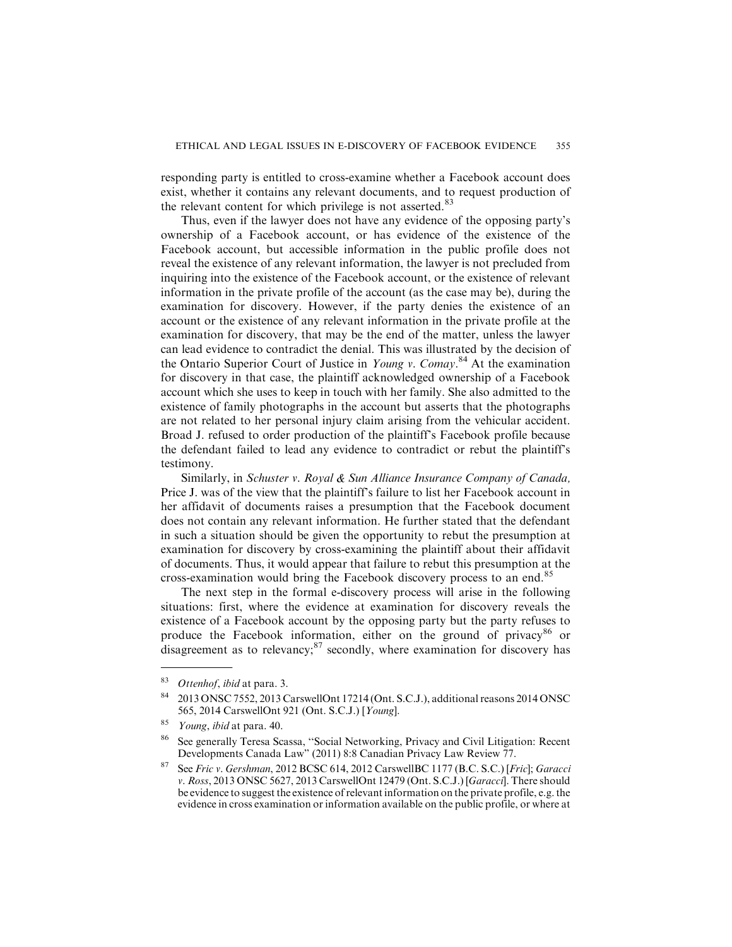responding party is entitled to cross-examine whether a Facebook account does exist, whether it contains any relevant documents, and to request production of the relevant content for which privilege is not asserted.<sup>83</sup>

Thus, even if the lawyer does not have any evidence of the opposing party's ownership of a Facebook account, or has evidence of the existence of the Facebook account, but accessible information in the public profile does not reveal the existence of any relevant information, the lawyer is not precluded from inquiring into the existence of the Facebook account, or the existence of relevant information in the private profile of the account (as the case may be), during the examination for discovery. However, if the party denies the existence of an account or the existence of any relevant information in the private profile at the examination for discovery, that may be the end of the matter, unless the lawyer can lead evidence to contradict the denial. This was illustrated by the decision of the Ontario Superior Court of Justice in Young v. Comay.<sup>84</sup> At the examination for discovery in that case, the plaintiff acknowledged ownership of a Facebook account which she uses to keep in touch with her family. She also admitted to the existence of family photographs in the account but asserts that the photographs are not related to her personal injury claim arising from the vehicular accident. Broad J. refused to order production of the plaintiff's Facebook profile because the defendant failed to lead any evidence to contradict or rebut the plaintiff's testimony.

Similarly, in Schuster v. Royal & Sun Alliance Insurance Company of Canada, Price J. was of the view that the plaintiff's failure to list her Facebook account in her affidavit of documents raises a presumption that the Facebook document does not contain any relevant information. He further stated that the defendant in such a situation should be given the opportunity to rebut the presumption at examination for discovery by cross-examining the plaintiff about their affidavit of documents. Thus, it would appear that failure to rebut this presumption at the cross-examination would bring the Facebook discovery process to an end.<sup>85</sup>

The next step in the formal e-discovery process will arise in the following situations: first, where the evidence at examination for discovery reveals the existence of a Facebook account by the opposing party but the party refuses to produce the Facebook information, either on the ground of privacy<sup>86</sup> or disagreement as to relevancy; $87$  secondly, where examination for discovery has

 $83$  Ottenhof, ibid at para. 3.

<sup>84</sup> 2013 ONSC 7552, 2013 CarswellOnt 17214 (Ont. S.C.J.), additional reasons 2014 ONSC 565, 2014 CarswellOnt 921 (Ont. S.C.J.) [Young].

 $85$  Young, ibid at para. 40.

<sup>86</sup> See generally Teresa Scassa, ''Social Networking, Privacy and Civil Litigation: Recent Developments Canada Law" (2011) 8:8 Canadian Privacy Law Review 77.

<sup>87</sup> See Fric v. Gershman, 2012 BCSC 614, 2012 CarswellBC 1177 (B.C. S.C.) [Fric]; Garacci v. Ross, 2013 ONSC 5627, 2013 CarswellOnt 12479 (Ont. S.C.J.) [Garacci]. There should be evidence to suggest the existence of relevant information on the private profile, e.g. the evidence in cross examination or information available on the public profile, or where at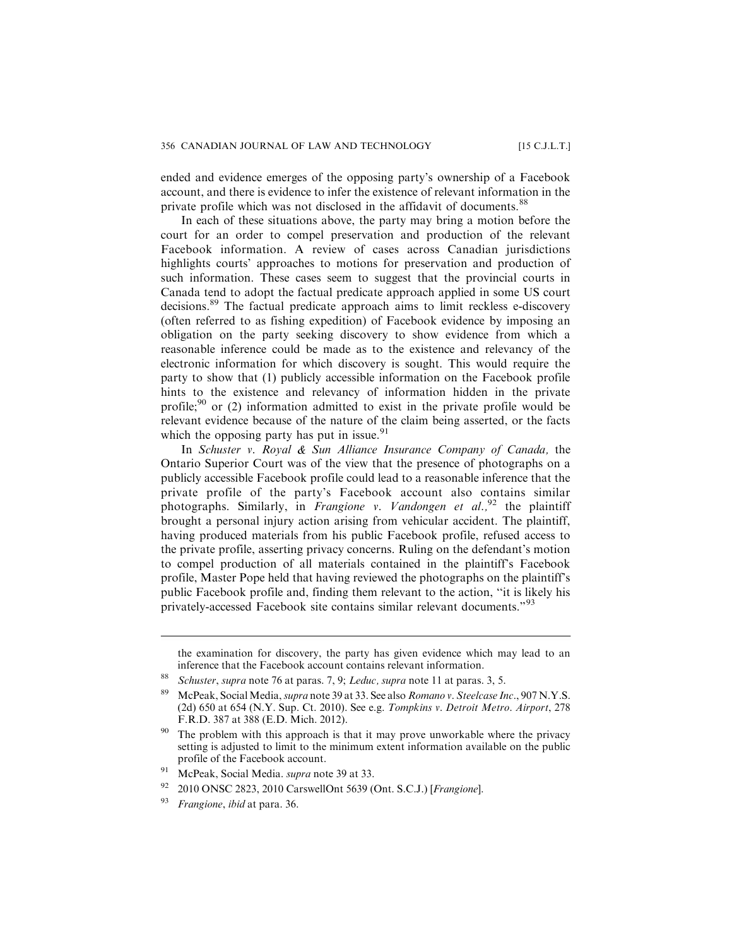ended and evidence emerges of the opposing party's ownership of a Facebook account, and there is evidence to infer the existence of relevant information in the private profile which was not disclosed in the affidavit of documents.<sup>88</sup>

In each of these situations above, the party may bring a motion before the court for an order to compel preservation and production of the relevant Facebook information. A review of cases across Canadian jurisdictions highlights courts' approaches to motions for preservation and production of such information. These cases seem to suggest that the provincial courts in Canada tend to adopt the factual predicate approach applied in some US court decisions.<sup>89</sup> The factual predicate approach aims to limit reckless e-discovery (often referred to as fishing expedition) of Facebook evidence by imposing an obligation on the party seeking discovery to show evidence from which a reasonable inference could be made as to the existence and relevancy of the electronic information for which discovery is sought. This would require the party to show that (1) publicly accessible information on the Facebook profile hints to the existence and relevancy of information hidden in the private profile;<sup>90</sup> or (2) information admitted to exist in the private profile would be relevant evidence because of the nature of the claim being asserted, or the facts which the opposing party has put in issue.<sup>91</sup>

In Schuster v. Royal & Sun Alliance Insurance Company of Canada, the Ontario Superior Court was of the view that the presence of photographs on a publicly accessible Facebook profile could lead to a reasonable inference that the private profile of the party's Facebook account also contains similar photographs. Similarly, in *Frangione v. Vandongen et al.*,<sup>92</sup> the plaintiff brought a personal injury action arising from vehicular accident. The plaintiff, having produced materials from his public Facebook profile, refused access to the private profile, asserting privacy concerns. Ruling on the defendant's motion to compel production of all materials contained in the plaintiff's Facebook profile, Master Pope held that having reviewed the photographs on the plaintiff's public Facebook profile and, finding them relevant to the action, ''it is likely his privately-accessed Facebook site contains similar relevant documents."<sup>93</sup>

- <sup>92</sup> 2010 ONSC 2823, 2010 CarswellOnt 5639 (Ont. S.C.J.) [Frangione].
- Frangione, ibid at para. 36.

the examination for discovery, the party has given evidence which may lead to an inference that the Facebook account contains relevant information.

<sup>&</sup>lt;sup>88</sup> Schuster, supra note 76 at paras. 7, 9; Leduc, supra note 11 at paras. 3, 5.

<sup>&</sup>lt;sup>89</sup> McPeak, Social Media, *supra* note 39 at 33. See also Romano v. Steelcase Inc., 907 N.Y.S. (2d) 650 at 654 (N.Y. Sup. Ct. 2010). See e.g. Tompkins v. Detroit Metro. Airport, 278 F.R.D. 387 at 388 (E.D. Mich. 2012).

The problem with this approach is that it may prove unworkable where the privacy setting is adjusted to limit to the minimum extent information available on the public profile of the Facebook account.

<sup>&</sup>lt;sup>91</sup> McPeak, Social Media. *supra* note 39 at 33.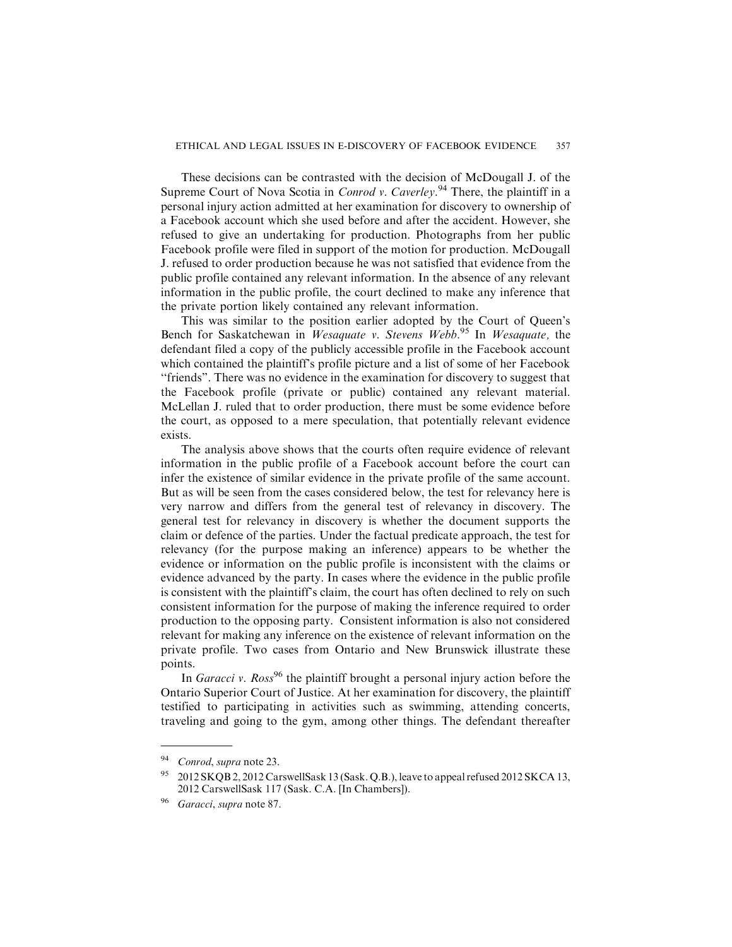These decisions can be contrasted with the decision of McDougall J. of the Supreme Court of Nova Scotia in *Conrod v. Caverley.*<sup>94</sup> There, the plaintiff in a personal injury action admitted at her examination for discovery to ownership of a Facebook account which she used before and after the accident. However, she refused to give an undertaking for production. Photographs from her public Facebook profile were filed in support of the motion for production. McDougall J. refused to order production because he was not satisfied that evidence from the public profile contained any relevant information. In the absence of any relevant information in the public profile, the court declined to make any inference that the private portion likely contained any relevant information.

This was similar to the position earlier adopted by the Court of Queen's Bench for Saskatchewan in Wesaquate v. Stevens Webb.<sup>95</sup> In Wesaquate, the defendant filed a copy of the publicly accessible profile in the Facebook account which contained the plaintiff's profile picture and a list of some of her Facebook ''friends". There was no evidence in the examination for discovery to suggest that the Facebook profile (private or public) contained any relevant material. McLellan J. ruled that to order production, there must be some evidence before the court, as opposed to a mere speculation, that potentially relevant evidence exists.

The analysis above shows that the courts often require evidence of relevant information in the public profile of a Facebook account before the court can infer the existence of similar evidence in the private profile of the same account. But as will be seen from the cases considered below, the test for relevancy here is very narrow and differs from the general test of relevancy in discovery. The general test for relevancy in discovery is whether the document supports the claim or defence of the parties. Under the factual predicate approach, the test for relevancy (for the purpose making an inference) appears to be whether the evidence or information on the public profile is inconsistent with the claims or evidence advanced by the party. In cases where the evidence in the public profile is consistent with the plaintiff's claim, the court has often declined to rely on such consistent information for the purpose of making the inference required to order production to the opposing party. Consistent information is also not considered relevant for making any inference on the existence of relevant information on the private profile. Two cases from Ontario and New Brunswick illustrate these points.

In Garacci v. Ross<sup>96</sup> the plaintiff brought a personal injury action before the Ontario Superior Court of Justice. At her examination for discovery, the plaintiff testified to participating in activities such as swimming, attending concerts, traveling and going to the gym, among other things. The defendant thereafter

<sup>&</sup>lt;sup>94</sup> Conrod, supra note 23.

<sup>95</sup> 2012 SKQB 2, 2012 CarswellSask 13 (Sask. Q.B.), leave to appeal refused 2012 SKCA 13, 2012 CarswellSask 117 (Sask. C.A. [In Chambers]).

Garacci, supra note 87.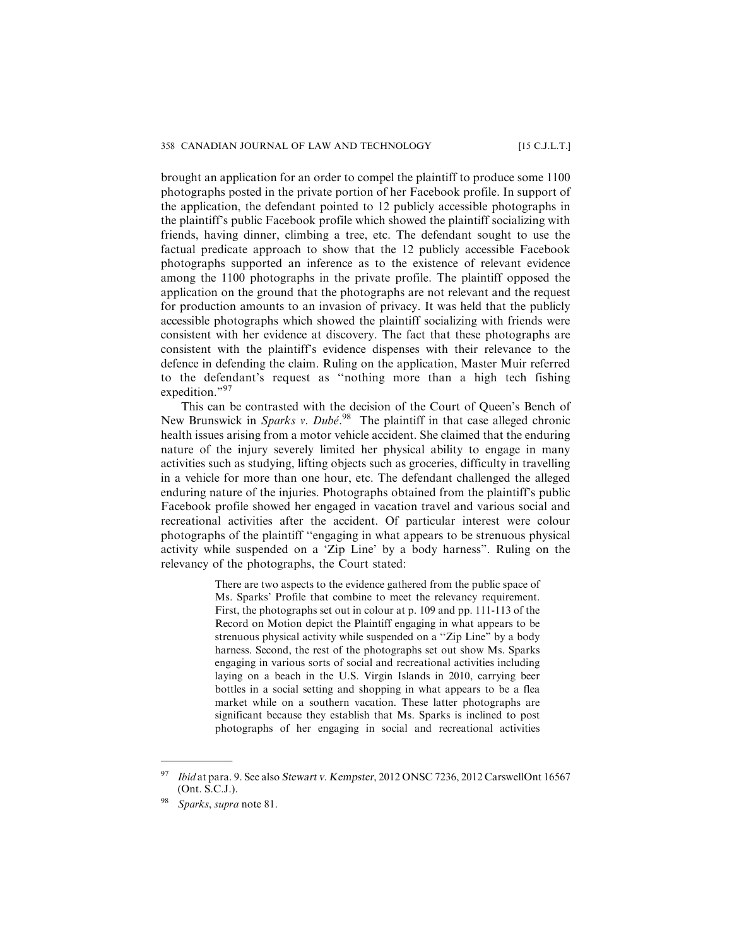brought an application for an order to compel the plaintiff to produce some 1100 photographs posted in the private portion of her Facebook profile. In support of the application, the defendant pointed to 12 publicly accessible photographs in the plaintiff's public Facebook profile which showed the plaintiff socializing with friends, having dinner, climbing a tree, etc. The defendant sought to use the factual predicate approach to show that the 12 publicly accessible Facebook photographs supported an inference as to the existence of relevant evidence among the 1100 photographs in the private profile. The plaintiff opposed the application on the ground that the photographs are not relevant and the request for production amounts to an invasion of privacy. It was held that the publicly accessible photographs which showed the plaintiff socializing with friends were consistent with her evidence at discovery. The fact that these photographs are consistent with the plaintiff's evidence dispenses with their relevance to the defence in defending the claim. Ruling on the application, Master Muir referred to the defendant's request as ''nothing more than a high tech fishing expedition."97

This can be contrasted with the decision of the Court of Queen's Bench of New Brunswick in Sparks v. Dubé.<sup>98</sup> The plaintiff in that case alleged chronic health issues arising from a motor vehicle accident. She claimed that the enduring nature of the injury severely limited her physical ability to engage in many activities such as studying, lifting objects such as groceries, difficulty in travelling in a vehicle for more than one hour, etc. The defendant challenged the alleged enduring nature of the injuries. Photographs obtained from the plaintiff's public Facebook profile showed her engaged in vacation travel and various social and recreational activities after the accident. Of particular interest were colour photographs of the plaintiff ''engaging in what appears to be strenuous physical activity while suspended on a 'Zip Line' by a body harness". Ruling on the relevancy of the photographs, the Court stated:

> There are two aspects to the evidence gathered from the public space of Ms. Sparks' Profile that combine to meet the relevancy requirement. First, the photographs set out in colour at p. 109 and pp. 111-113 of the Record on Motion depict the Plaintiff engaging in what appears to be strenuous physical activity while suspended on a ''Zip Line" by a body harness. Second, the rest of the photographs set out show Ms. Sparks engaging in various sorts of social and recreational activities including laying on a beach in the U.S. Virgin Islands in 2010, carrying beer bottles in a social setting and shopping in what appears to be a flea market while on a southern vacation. These latter photographs are significant because they establish that Ms. Sparks is inclined to post photographs of her engaging in social and recreational activities

<sup>97</sup> Ibid at para. 9. See also Stewart v. Kempster, 2012 ONSC 7236, 2012 CarswellOnt 16567 (Ont. S.C.J.).

Sparks, supra note 81.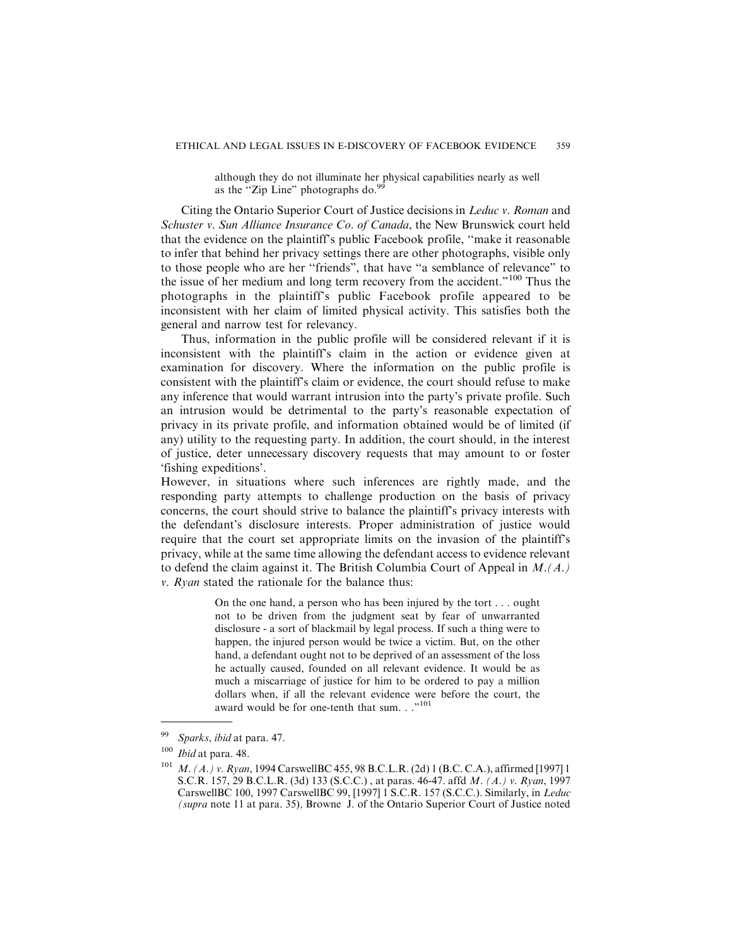although they do not illuminate her physical capabilities nearly as well as the "Zip Line" photographs do.<sup>9</sup>

Citing the Ontario Superior Court of Justice decisions in Leduc v. Roman and Schuster v. Sun Alliance Insurance Co. of Canada, the New Brunswick court held that the evidence on the plaintiff's public Facebook profile, ''make it reasonable to infer that behind her privacy settings there are other photographs, visible only to those people who are her ''friends", that have ''a semblance of relevance" to the issue of her medium and long term recovery from the accident."<sup>100</sup> Thus the photographs in the plaintiff's public Facebook profile appeared to be inconsistent with her claim of limited physical activity. This satisfies both the general and narrow test for relevancy.

Thus, information in the public profile will be considered relevant if it is inconsistent with the plaintiff's claim in the action or evidence given at examination for discovery. Where the information on the public profile is consistent with the plaintiff's claim or evidence, the court should refuse to make any inference that would warrant intrusion into the party's private profile. Such an intrusion would be detrimental to the party's reasonable expectation of privacy in its private profile, and information obtained would be of limited (if any) utility to the requesting party. In addition, the court should, in the interest of justice, deter unnecessary discovery requests that may amount to or foster 'fishing expeditions'.

However, in situations where such inferences are rightly made, and the responding party attempts to challenge production on the basis of privacy concerns, the court should strive to balance the plaintiff's privacy interests with the defendant's disclosure interests. Proper administration of justice would require that the court set appropriate limits on the invasion of the plaintiff's privacy, while at the same time allowing the defendant access to evidence relevant to defend the claim against it. The British Columbia Court of Appeal in  $M(A)$ . *v. Ryan* stated the rationale for the balance thus:

> On the one hand, a person who has been injured by the tort . . . ought not to be driven from the judgment seat by fear of unwarranted disclosure - a sort of blackmail by legal process. If such a thing were to happen, the injured person would be twice a victim. But, on the other hand, a defendant ought not to be deprived of an assessment of the loss he actually caused, founded on all relevant evidence. It would be as much a miscarriage of justice for him to be ordered to pay a million dollars when, if all the relevant evidence were before the court, the award would be for one-tenth that sum. . ."<sup>101</sup>

Sparks, ibid at para. 47.

 $100$  *Ibid* at para. 48.

<sup>&</sup>lt;sup>101</sup> M. (A.) v. Ryan, 1994 CarswellBC 455, 98 B.C.L.R. (2d) 1 (B.C. C.A.), affirmed [1997] 1 S.C.R. 157, 29 B.C.L.R. (3d) 133 (S.C.C.) , at paras. 46-47. affd M. (A.) v. Ryan, 1997 CarswellBC 100, 1997 CarswellBC 99, [1997] 1 S.C.R. 157 (S.C.C.). Similarly, in Leduc (supra note 11 at para. 35), Browne J. of the Ontario Superior Court of Justice noted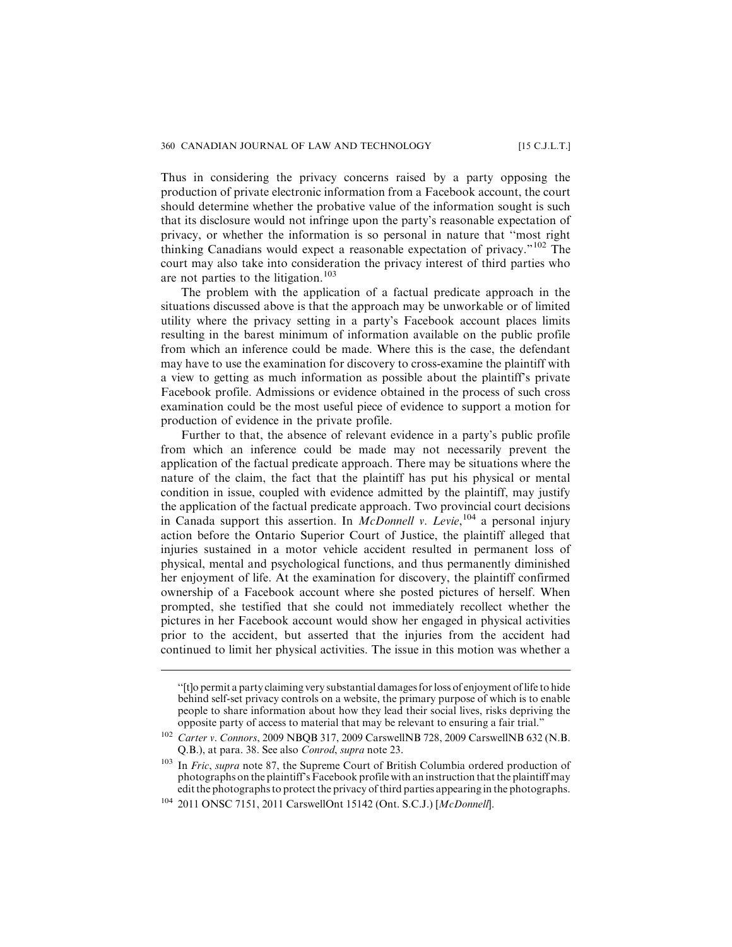Thus in considering the privacy concerns raised by a party opposing the production of private electronic information from a Facebook account, the court should determine whether the probative value of the information sought is such that its disclosure would not infringe upon the party's reasonable expectation of privacy, or whether the information is so personal in nature that ''most right thinking Canadians would expect a reasonable expectation of privacy."<sup>102</sup> The court may also take into consideration the privacy interest of third parties who are not parties to the litigation.<sup>103</sup>

The problem with the application of a factual predicate approach in the situations discussed above is that the approach may be unworkable or of limited utility where the privacy setting in a party's Facebook account places limits resulting in the barest minimum of information available on the public profile from which an inference could be made. Where this is the case, the defendant may have to use the examination for discovery to cross-examine the plaintiff with a view to getting as much information as possible about the plaintiff's private Facebook profile. Admissions or evidence obtained in the process of such cross examination could be the most useful piece of evidence to support a motion for production of evidence in the private profile.

Further to that, the absence of relevant evidence in a party's public profile from which an inference could be made may not necessarily prevent the application of the factual predicate approach. There may be situations where the nature of the claim, the fact that the plaintiff has put his physical or mental condition in issue, coupled with evidence admitted by the plaintiff, may justify the application of the factual predicate approach. Two provincial court decisions in Canada support this assertion. In McDonnell v. Levie,  $^{104}$  a personal injury action before the Ontario Superior Court of Justice, the plaintiff alleged that injuries sustained in a motor vehicle accident resulted in permanent loss of physical, mental and psychological functions, and thus permanently diminished her enjoyment of life. At the examination for discovery, the plaintiff confirmed ownership of a Facebook account where she posted pictures of herself. When prompted, she testified that she could not immediately recollect whether the pictures in her Facebook account would show her engaged in physical activities prior to the accident, but asserted that the injuries from the accident had continued to limit her physical activities. The issue in this motion was whether a

<sup>&#</sup>x27;'[t]o permit a party claiming very substantial damages for loss of enjoyment of life to hide behind self-set privacy controls on a website, the primary purpose of which is to enable people to share information about how they lead their social lives, risks depriving the opposite party of access to material that may be relevant to ensuring a fair trial."

<sup>102</sup> Carter v. Connors, 2009 NBQB 317, 2009 CarswellNB 728, 2009 CarswellNB 632 (N.B. Q.B.), at para. 38. See also Conrod, supra note 23.

<sup>&</sup>lt;sup>103</sup> In Fric, supra note 87, the Supreme Court of British Columbia ordered production of photographs on the plaintiff's Facebook profile with an instruction that the plaintiff may edit the photographs to protect the privacy of third parties appearing in the photographs.

<sup>&</sup>lt;sup>104</sup> 2011 ONSC 7151, 2011 CarswellOnt 15142 (Ont. S.C.J.) [McDonnell].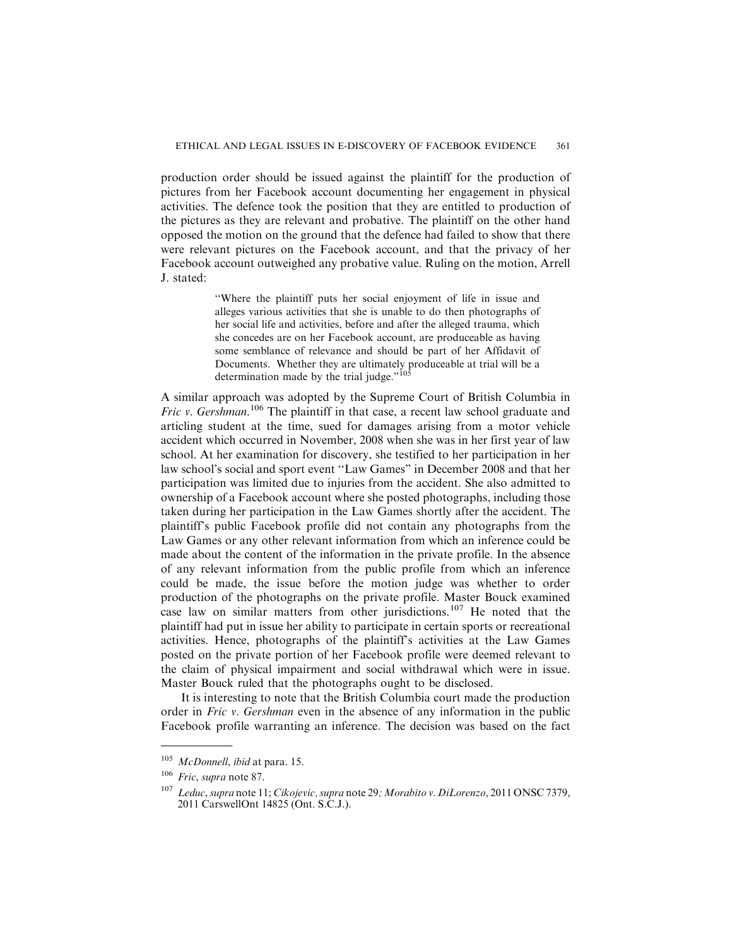production order should be issued against the plaintiff for the production of pictures from her Facebook account documenting her engagement in physical activities. The defence took the position that they are entitled to production of the pictures as they are relevant and probative. The plaintiff on the other hand opposed the motion on the ground that the defence had failed to show that there were relevant pictures on the Facebook account, and that the privacy of her Facebook account outweighed any probative value. Ruling on the motion, Arrell J. stated:

> ''Where the plaintiff puts her social enjoyment of life in issue and alleges various activities that she is unable to do then photographs of her social life and activities, before and after the alleged trauma, which she concedes are on her Facebook account, are produceable as having some semblance of relevance and should be part of her Affidavit of Documents. Whether they are ultimately produceable at trial will be a determination made by the trial judge." $10\frac{1}{5}$

A similar approach was adopted by the Supreme Court of British Columbia in *Fric v. Gershman.*<sup>106</sup> The plaintiff in that case, a recent law school graduate and articling student at the time, sued for damages arising from a motor vehicle accident which occurred in November, 2008 when she was in her first year of law school. At her examination for discovery, she testified to her participation in her law school's social and sport event ''Law Games" in December 2008 and that her participation was limited due to injuries from the accident. She also admitted to ownership of a Facebook account where she posted photographs, including those taken during her participation in the Law Games shortly after the accident. The plaintiff's public Facebook profile did not contain any photographs from the Law Games or any other relevant information from which an inference could be made about the content of the information in the private profile. In the absence of any relevant information from the public profile from which an inference could be made, the issue before the motion judge was whether to order production of the photographs on the private profile. Master Bouck examined case law on similar matters from other jurisdictions.<sup>107</sup> He noted that the plaintiff had put in issue her ability to participate in certain sports or recreational activities. Hence, photographs of the plaintiff's activities at the Law Games posted on the private portion of her Facebook profile were deemed relevant to the claim of physical impairment and social withdrawal which were in issue. Master Bouck ruled that the photographs ought to be disclosed.

It is interesting to note that the British Columbia court made the production order in Fric v. Gershman even in the absence of any information in the public Facebook profile warranting an inference. The decision was based on the fact

<sup>105</sup> McDonnell, ibid at para. 15.

<sup>106</sup> Fric, supra note 87.

 $107$  Leduc, supra note 11; Cikojevic, supra note 29; Morabito v. DiLorenzo, 2011 ONSC 7379, 2011 CarswellOnt 14825 (Ont. S.C.J.).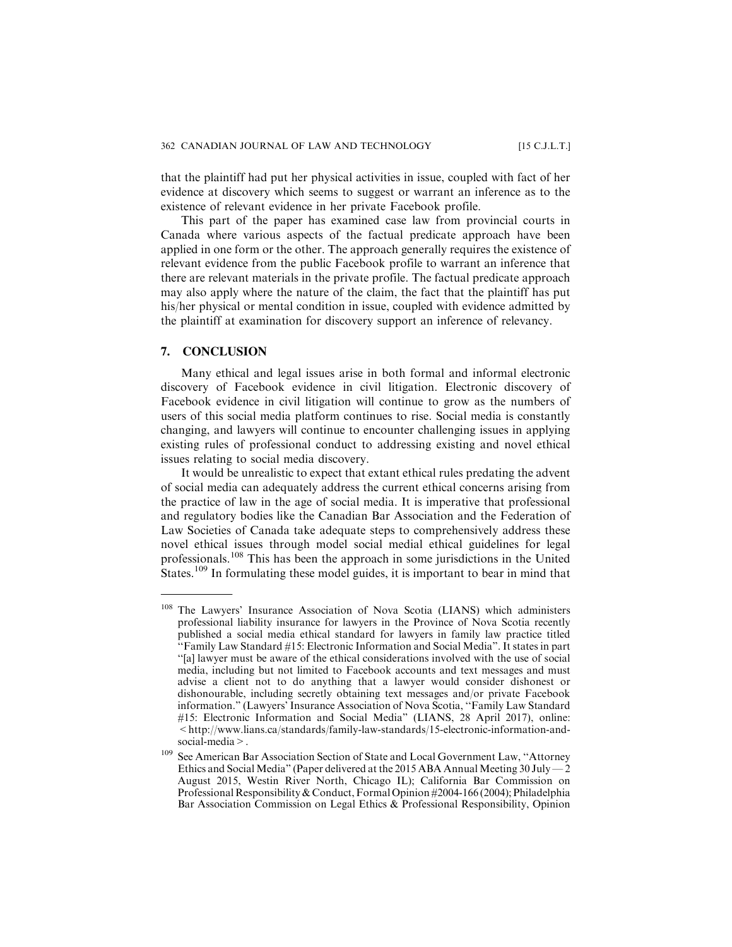that the plaintiff had put her physical activities in issue, coupled with fact of her evidence at discovery which seems to suggest or warrant an inference as to the existence of relevant evidence in her private Facebook profile.

This part of the paper has examined case law from provincial courts in Canada where various aspects of the factual predicate approach have been applied in one form or the other. The approach generally requires the existence of relevant evidence from the public Facebook profile to warrant an inference that there are relevant materials in the private profile. The factual predicate approach may also apply where the nature of the claim, the fact that the plaintiff has put his/her physical or mental condition in issue, coupled with evidence admitted by the plaintiff at examination for discovery support an inference of relevancy.

## **7. CONCLUSION**

Many ethical and legal issues arise in both formal and informal electronic discovery of Facebook evidence in civil litigation. Electronic discovery of Facebook evidence in civil litigation will continue to grow as the numbers of users of this social media platform continues to rise. Social media is constantly changing, and lawyers will continue to encounter challenging issues in applying existing rules of professional conduct to addressing existing and novel ethical issues relating to social media discovery.

It would be unrealistic to expect that extant ethical rules predating the advent of social media can adequately address the current ethical concerns arising from the practice of law in the age of social media. It is imperative that professional and regulatory bodies like the Canadian Bar Association and the Federation of Law Societies of Canada take adequate steps to comprehensively address these novel ethical issues through model social medial ethical guidelines for legal professionals.<sup>108</sup> This has been the approach in some jurisdictions in the United States.<sup>109</sup> In formulating these model guides, it is important to bear in mind that

<sup>&</sup>lt;sup>108</sup> The Lawyers' Insurance Association of Nova Scotia (LIANS) which administers professional liability insurance for lawyers in the Province of Nova Scotia recently published a social media ethical standard for lawyers in family law practice titled ''Family Law Standard #15: Electronic Information and Social Media". It states in part ''[a] lawyer must be aware of the ethical considerations involved with the use of social media, including but not limited to Facebook accounts and text messages and must advise a client not to do anything that a lawyer would consider dishonest or dishonourable, including secretly obtaining text messages and/or private Facebook information." (Lawyers' Insurance Association of Nova Scotia, ''Family Law Standard #15: Electronic Information and Social Media" (LIANS, 28 April 2017), online: <http://www.lians.ca/standards/family-law-standards/15-electronic-information-andsocial-media>.

<sup>&</sup>lt;sup>109</sup> See American Bar Association Section of State and Local Government Law, "Attorney Ethics and Social Media" (Paper delivered at the 2015 ABA Annual Meeting 30 July  $-2$ August 2015, Westin River North, Chicago IL); California Bar Commission on Professional Responsibility & Conduct, Formal Opinion #2004-166 (2004); Philadelphia Bar Association Commission on Legal Ethics & Professional Responsibility, Opinion